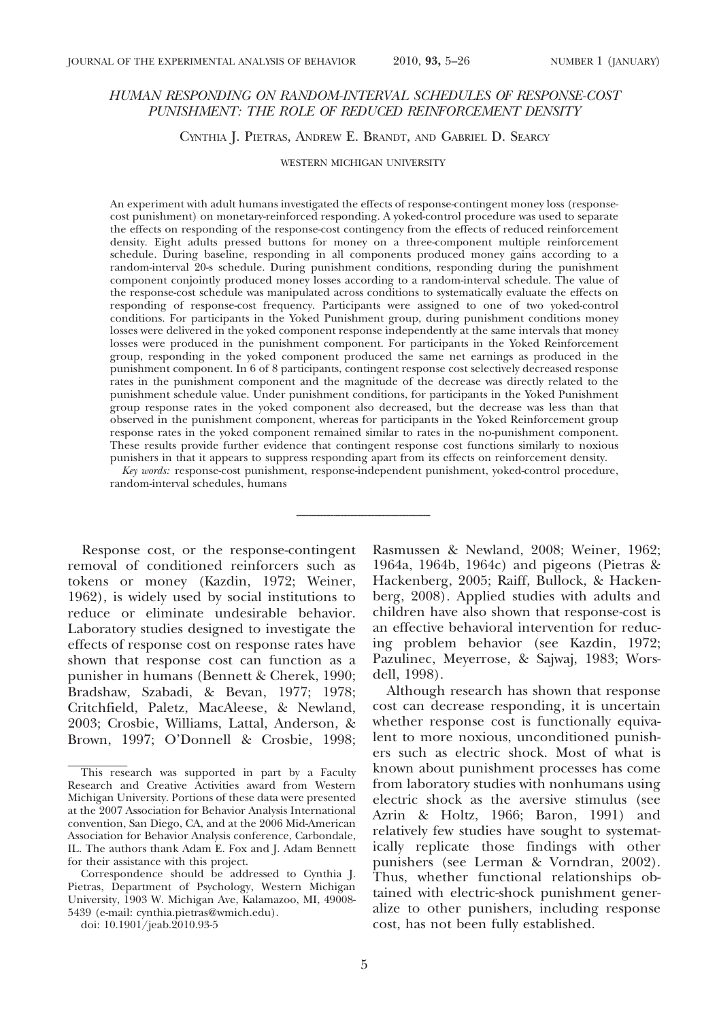## HUMAN RESPONDING ON RANDOM-INTERVAL SCHEDULES OF RESPONSE-COST PUNISHMENT: THE ROLE OF REDUCED REINFORCEMENT DENSITY

#### CYNTHIA J. PIETRAS, ANDREW E. BRANDT, AND GABRIEL D. SEARCY

WESTERN MICHIGAN UNIVERSITY

An experiment with adult humans investigated the effects of response-contingent money loss (responsecost punishment) on monetary-reinforced responding. A yoked-control procedure was used to separate the effects on responding of the response-cost contingency from the effects of reduced reinforcement density. Eight adults pressed buttons for money on a three-component multiple reinforcement schedule. During baseline, responding in all components produced money gains according to a random-interval 20-s schedule. During punishment conditions, responding during the punishment component conjointly produced money losses according to a random-interval schedule. The value of the response-cost schedule was manipulated across conditions to systematically evaluate the effects on responding of response-cost frequency. Participants were assigned to one of two yoked-control conditions. For participants in the Yoked Punishment group, during punishment conditions money losses were delivered in the yoked component response independently at the same intervals that money losses were produced in the punishment component. For participants in the Yoked Reinforcement group, responding in the yoked component produced the same net earnings as produced in the punishment component. In 6 of 8 participants, contingent response cost selectively decreased response rates in the punishment component and the magnitude of the decrease was directly related to the punishment schedule value. Under punishment conditions, for participants in the Yoked Punishment group response rates in the yoked component also decreased, but the decrease was less than that observed in the punishment component, whereas for participants in the Yoked Reinforcement group response rates in the yoked component remained similar to rates in the no-punishment component. These results provide further evidence that contingent response cost functions similarly to noxious punishers in that it appears to suppress responding apart from its effects on reinforcement density.

Key words: response-cost punishment, response-independent punishment, yoked-control procedure, random-interval schedules, humans

Response cost, or the response-contingent removal of conditioned reinforcers such as tokens or money (Kazdin, 1972; Weiner, 1962), is widely used by social institutions to reduce or eliminate undesirable behavior. Laboratory studies designed to investigate the effects of response cost on response rates have shown that response cost can function as a punisher in humans (Bennett & Cherek, 1990; Bradshaw, Szabadi, & Bevan, 1977; 1978; Critchfield, Paletz, MacAleese, & Newland, 2003; Crosbie, Williams, Lattal, Anderson, & Brown, 1997; O'Donnell & Crosbie, 1998;

Rasmussen & Newland, 2008; Weiner, 1962; 1964a, 1964b, 1964c) and pigeons (Pietras & Hackenberg, 2005; Raiff, Bullock, & Hackenberg, 2008). Applied studies with adults and children have also shown that response-cost is an effective behavioral intervention for reducing problem behavior (see Kazdin, 1972; Pazulinec, Meyerrose, & Sajwaj, 1983; Worsdell, 1998).

Although research has shown that response cost can decrease responding, it is uncertain whether response cost is functionally equivalent to more noxious, unconditioned punishers such as electric shock. Most of what is known about punishment processes has come from laboratory studies with nonhumans using electric shock as the aversive stimulus (see Azrin & Holtz, 1966; Baron, 1991) and relatively few studies have sought to systematically replicate those findings with other punishers (see Lerman & Vorndran, 2002). Thus, whether functional relationships obtained with electric-shock punishment generalize to other punishers, including response cost, has not been fully established.

This research was supported in part by a Faculty Research and Creative Activities award from Western Michigan University. Portions of these data were presented at the 2007 Association for Behavior Analysis International convention, San Diego, CA, and at the 2006 Mid-American Association for Behavior Analysis conference, Carbondale, IL. The authors thank Adam E. Fox and J. Adam Bennett for their assistance with this project.

Correspondence should be addressed to Cynthia J. Pietras, Department of Psychology, Western Michigan University, 1903 W. Michigan Ave, Kalamazoo, MI, 49008- 5439 (e-mail: cynthia.pietras@wmich.edu).

doi: 10.1901/jeab.2010.93-5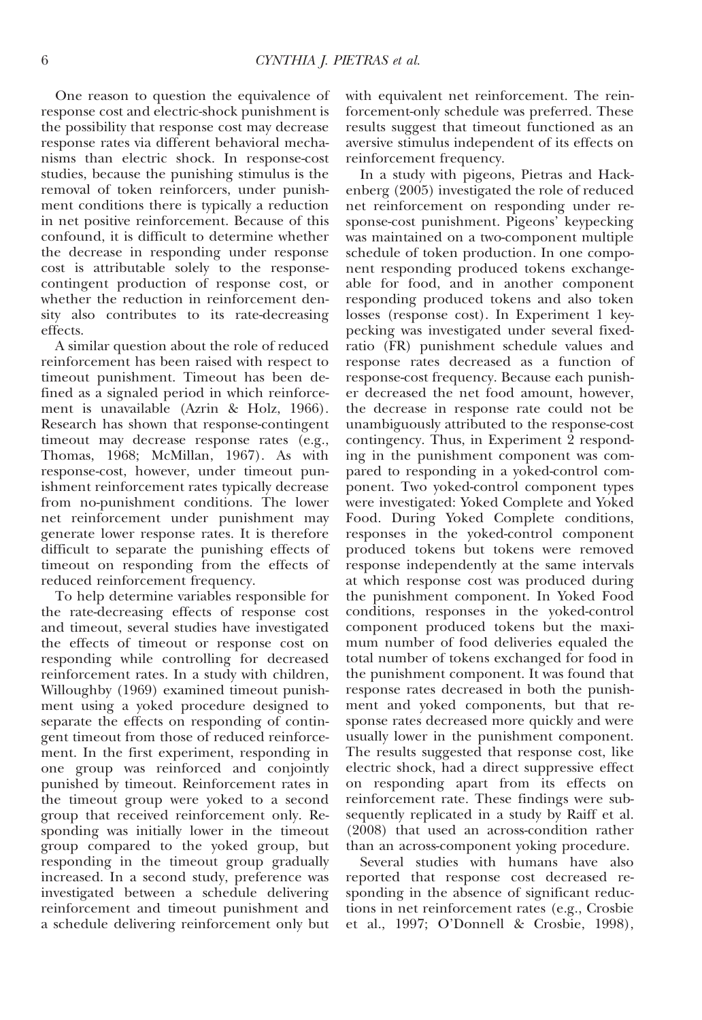One reason to question the equivalence of response cost and electric-shock punishment is the possibility that response cost may decrease response rates via different behavioral mechanisms than electric shock. In response-cost studies, because the punishing stimulus is the removal of token reinforcers, under punishment conditions there is typically a reduction in net positive reinforcement. Because of this confound, it is difficult to determine whether the decrease in responding under response cost is attributable solely to the responsecontingent production of response cost, or whether the reduction in reinforcement density also contributes to its rate-decreasing effects.

A similar question about the role of reduced reinforcement has been raised with respect to timeout punishment. Timeout has been defined as a signaled period in which reinforcement is unavailable (Azrin & Holz, 1966). Research has shown that response-contingent timeout may decrease response rates (e.g., Thomas, 1968; McMillan, 1967). As with response-cost, however, under timeout punishment reinforcement rates typically decrease from no-punishment conditions. The lower net reinforcement under punishment may generate lower response rates. It is therefore difficult to separate the punishing effects of timeout on responding from the effects of reduced reinforcement frequency.

To help determine variables responsible for the rate-decreasing effects of response cost and timeout, several studies have investigated the effects of timeout or response cost on responding while controlling for decreased reinforcement rates. In a study with children, Willoughby (1969) examined timeout punishment using a yoked procedure designed to separate the effects on responding of contingent timeout from those of reduced reinforcement. In the first experiment, responding in one group was reinforced and conjointly punished by timeout. Reinforcement rates in the timeout group were yoked to a second group that received reinforcement only. Responding was initially lower in the timeout group compared to the yoked group, but responding in the timeout group gradually increased. In a second study, preference was investigated between a schedule delivering reinforcement and timeout punishment and a schedule delivering reinforcement only but

with equivalent net reinforcement. The reinforcement-only schedule was preferred. These results suggest that timeout functioned as an aversive stimulus independent of its effects on reinforcement frequency.

In a study with pigeons, Pietras and Hackenberg (2005) investigated the role of reduced net reinforcement on responding under response-cost punishment. Pigeons' keypecking was maintained on a two-component multiple schedule of token production. In one component responding produced tokens exchangeable for food, and in another component responding produced tokens and also token losses (response cost). In Experiment 1 keypecking was investigated under several fixedratio (FR) punishment schedule values and response rates decreased as a function of response-cost frequency. Because each punisher decreased the net food amount, however, the decrease in response rate could not be unambiguously attributed to the response-cost contingency. Thus, in Experiment 2 responding in the punishment component was compared to responding in a yoked-control component. Two yoked-control component types were investigated: Yoked Complete and Yoked Food. During Yoked Complete conditions, responses in the yoked-control component produced tokens but tokens were removed response independently at the same intervals at which response cost was produced during the punishment component. In Yoked Food conditions, responses in the yoked-control component produced tokens but the maximum number of food deliveries equaled the total number of tokens exchanged for food in the punishment component. It was found that response rates decreased in both the punishment and yoked components, but that response rates decreased more quickly and were usually lower in the punishment component. The results suggested that response cost, like electric shock, had a direct suppressive effect on responding apart from its effects on reinforcement rate. These findings were subsequently replicated in a study by Raiff et al. (2008) that used an across-condition rather than an across-component yoking procedure.

Several studies with humans have also reported that response cost decreased responding in the absence of significant reductions in net reinforcement rates (e.g., Crosbie et al., 1997; O'Donnell & Crosbie, 1998),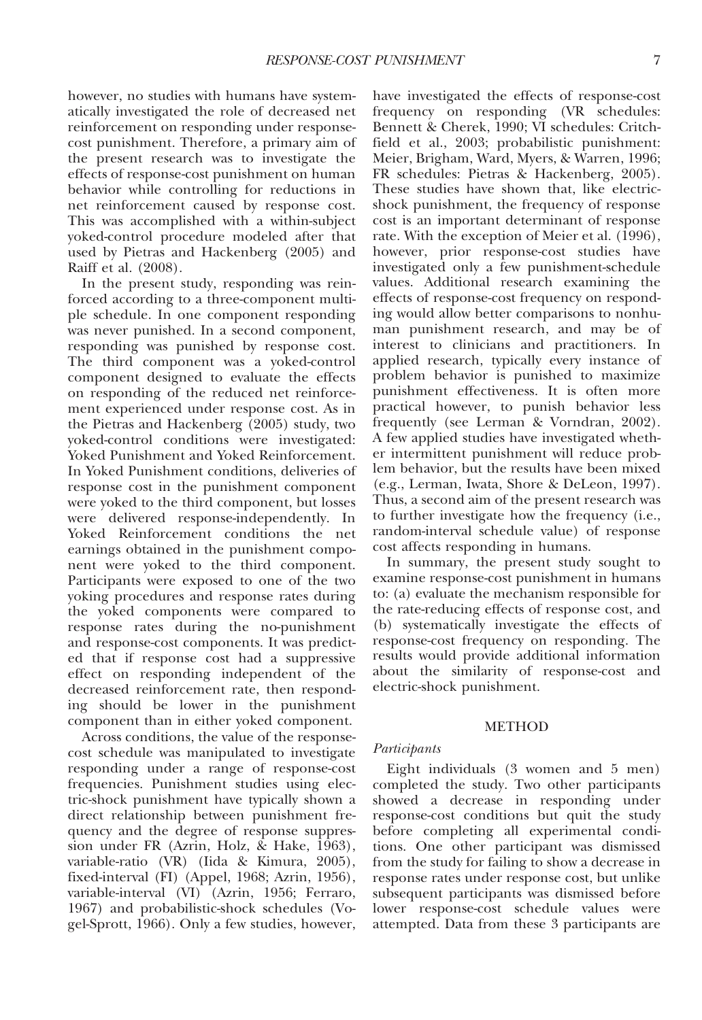however, no studies with humans have systematically investigated the role of decreased net reinforcement on responding under responsecost punishment. Therefore, a primary aim of the present research was to investigate the effects of response-cost punishment on human behavior while controlling for reductions in net reinforcement caused by response cost. This was accomplished with a within-subject yoked-control procedure modeled after that used by Pietras and Hackenberg (2005) and Raiff et al. (2008).

In the present study, responding was reinforced according to a three-component multiple schedule. In one component responding was never punished. In a second component, responding was punished by response cost. The third component was a yoked-control component designed to evaluate the effects on responding of the reduced net reinforcement experienced under response cost. As in the Pietras and Hackenberg (2005) study, two yoked-control conditions were investigated: Yoked Punishment and Yoked Reinforcement. In Yoked Punishment conditions, deliveries of response cost in the punishment component were yoked to the third component, but losses were delivered response-independently. In Yoked Reinforcement conditions the net earnings obtained in the punishment component were yoked to the third component. Participants were exposed to one of the two yoking procedures and response rates during the yoked components were compared to response rates during the no-punishment and response-cost components. It was predicted that if response cost had a suppressive effect on responding independent of the decreased reinforcement rate, then responding should be lower in the punishment component than in either yoked component.

Across conditions, the value of the responsecost schedule was manipulated to investigate responding under a range of response-cost frequencies. Punishment studies using electric-shock punishment have typically shown a direct relationship between punishment frequency and the degree of response suppression under FR (Azrin, Holz, & Hake, 1963), variable-ratio (VR) (Iida & Kimura, 2005), fixed-interval (FI) (Appel, 1968; Azrin, 1956), variable-interval (VI) (Azrin, 1956; Ferraro, 1967) and probabilistic-shock schedules (Vogel-Sprott, 1966). Only a few studies, however, have investigated the effects of response-cost frequency on responding (VR schedules: Bennett & Cherek, 1990; VI schedules: Critchfield et al., 2003; probabilistic punishment: Meier, Brigham, Ward, Myers, & Warren, 1996; FR schedules: Pietras & Hackenberg, 2005). These studies have shown that, like electricshock punishment, the frequency of response cost is an important determinant of response rate. With the exception of Meier et al. (1996), however, prior response-cost studies have investigated only a few punishment-schedule values. Additional research examining the effects of response-cost frequency on responding would allow better comparisons to nonhuman punishment research, and may be of interest to clinicians and practitioners. In applied research, typically every instance of problem behavior is punished to maximize punishment effectiveness. It is often more practical however, to punish behavior less frequently (see Lerman & Vorndran, 2002). A few applied studies have investigated whether intermittent punishment will reduce problem behavior, but the results have been mixed (e.g., Lerman, Iwata, Shore & DeLeon, 1997). Thus, a second aim of the present research was to further investigate how the frequency (i.e., random-interval schedule value) of response cost affects responding in humans.

In summary, the present study sought to examine response-cost punishment in humans to: (a) evaluate the mechanism responsible for the rate-reducing effects of response cost, and (b) systematically investigate the effects of response-cost frequency on responding. The results would provide additional information about the similarity of response-cost and electric-shock punishment.

#### **METHOD**

#### Participants

Eight individuals (3 women and 5 men) completed the study. Two other participants showed a decrease in responding under response-cost conditions but quit the study before completing all experimental conditions. One other participant was dismissed from the study for failing to show a decrease in response rates under response cost, but unlike subsequent participants was dismissed before lower response-cost schedule values were attempted. Data from these 3 participants are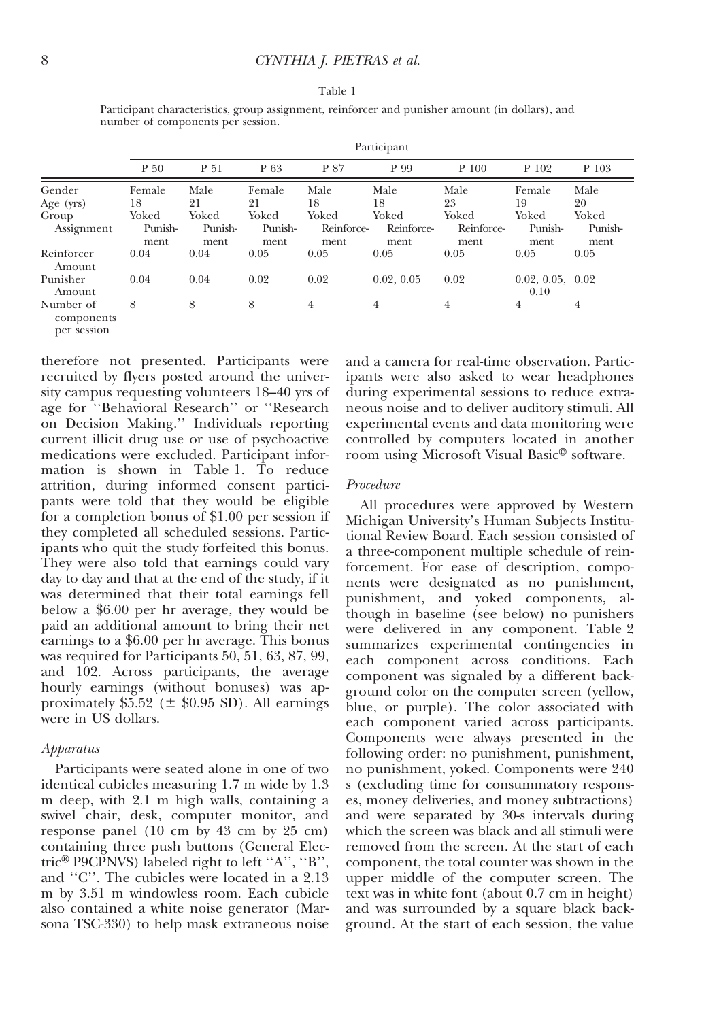|                                        | Participant              |                          |                          |                             |                             |                             |                          |                          |
|----------------------------------------|--------------------------|--------------------------|--------------------------|-----------------------------|-----------------------------|-----------------------------|--------------------------|--------------------------|
|                                        | P 50                     | P 51                     | P 63                     | P 87                        | P 99                        | P 100                       | P 102                    | P 103                    |
| Gender<br>Age $(yrs)$                  | Female<br>18             | Male<br>21               | Female<br>21             | Male<br>18                  | Male<br>18                  | Male<br>23                  | Female<br>19             | Male<br>20               |
| Group<br>Assignment                    | Yoked<br>Punish-<br>ment | Yoked<br>Punish-<br>ment | Yoked<br>Punish-<br>ment | Yoked<br>Reinforce-<br>ment | Yoked<br>Reinforce-<br>ment | Yoked<br>Reinforce-<br>ment | Yoked<br>Punish-<br>ment | Yoked<br>Punish-<br>ment |
| Reinforcer<br>Amount                   | 0.04                     | 0.04                     | 0.05                     | 0.05                        | 0.05                        | 0.05                        | 0.05                     | 0.05                     |
| Punisher<br>Amount                     | 0.04                     | 0.04                     | 0.02                     | 0.02                        | 0.02, 0.05                  | 0.02                        | 0.02, 0.05, 0.02<br>0.10 |                          |
| Number of<br>components<br>per session | 8                        | 8                        | 8                        | 4                           | 4                           | 4                           | 4                        | 4                        |

Table 1 Participant characteristics, group assignment, reinforcer and punisher amount (in dollars), and number of components per session.

therefore not presented. Participants were recruited by flyers posted around the university campus requesting volunteers 18–40 yrs of age for ''Behavioral Research'' or ''Research on Decision Making.'' Individuals reporting current illicit drug use or use of psychoactive medications were excluded. Participant information is shown in Table 1. To reduce attrition, during informed consent participants were told that they would be eligible for a completion bonus of \$1.00 per session if they completed all scheduled sessions. Participants who quit the study forfeited this bonus. They were also told that earnings could vary day to day and that at the end of the study, if it was determined that their total earnings fell below a \$6.00 per hr average, they would be paid an additional amount to bring their net earnings to a \$6.00 per hr average. This bonus was required for Participants 50, 51, 63, 87, 99, and 102. Across participants, the average hourly earnings (without bonuses) was approximately  $$5.52 \ (\pm \ $0.95 \ SD)$ . All earnings were in US dollars.

## Apparatus

Participants were seated alone in one of two identical cubicles measuring 1.7 m wide by 1.3 m deep, with 2.1 m high walls, containing a swivel chair, desk, computer monitor, and response panel (10 cm by 43 cm by 25 cm) containing three push buttons (General Electric<sup>®</sup> P9CPNVS) labeled right to left "A", "B", and ''C''. The cubicles were located in a 2.13 m by 3.51 m windowless room. Each cubicle also contained a white noise generator (Marsona TSC-330) to help mask extraneous noise

and a camera for real-time observation. Participants were also asked to wear headphones during experimental sessions to reduce extraneous noise and to deliver auditory stimuli. All experimental events and data monitoring were controlled by computers located in another room using Microsoft Visual Basic<sup>®</sup> software.

#### Procedure

All procedures were approved by Western Michigan University's Human Subjects Institutional Review Board. Each session consisted of a three-component multiple schedule of reinforcement. For ease of description, components were designated as no punishment, punishment, and yoked components, although in baseline (see below) no punishers were delivered in any component. Table 2 summarizes experimental contingencies in each component across conditions. Each component was signaled by a different background color on the computer screen (yellow, blue, or purple). The color associated with each component varied across participants. Components were always presented in the following order: no punishment, punishment, no punishment, yoked. Components were 240 s (excluding time for consummatory responses, money deliveries, and money subtractions) and were separated by 30-s intervals during which the screen was black and all stimuli were removed from the screen. At the start of each component, the total counter was shown in the upper middle of the computer screen. The text was in white font (about 0.7 cm in height) and was surrounded by a square black background. At the start of each session, the value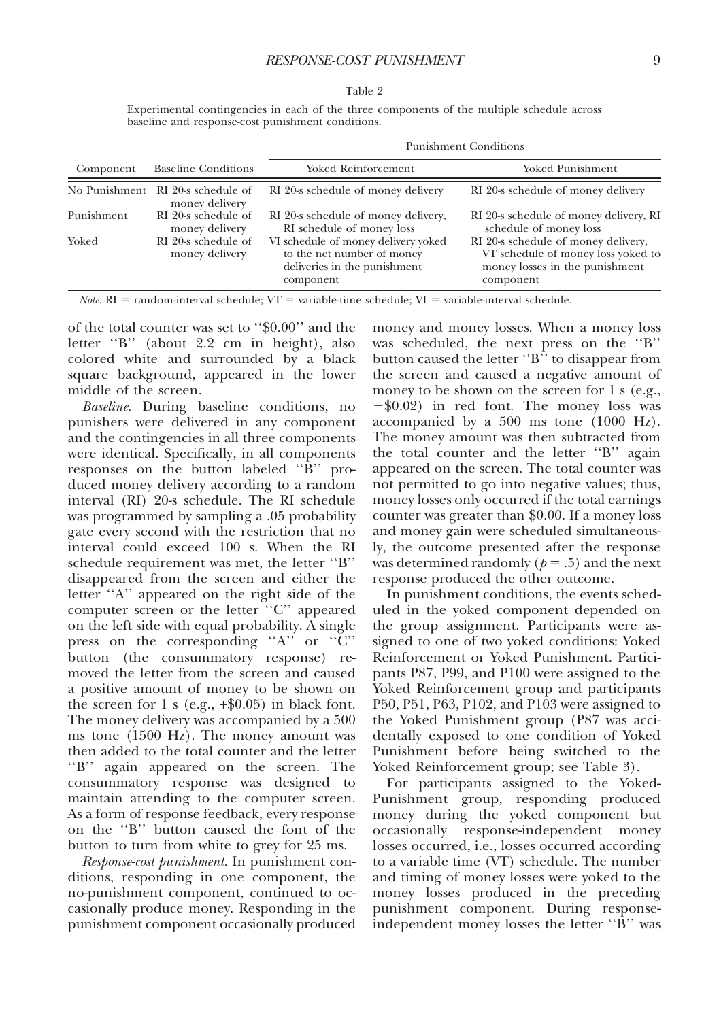Table 2

Experimental contingencies in each of the three components of the multiple schedule across baseline and response-cost punishment conditions.

|            |                                                     | <b>Punishment Conditions</b>                                                                                   |                                                                                                                          |  |  |
|------------|-----------------------------------------------------|----------------------------------------------------------------------------------------------------------------|--------------------------------------------------------------------------------------------------------------------------|--|--|
| Component  | <b>Baseline Conditions</b>                          | <b>Yoked Reinforcement</b>                                                                                     | Yoked Punishment                                                                                                         |  |  |
|            | No Punishment RI 20-s schedule of<br>money delivery | RI 20-s schedule of money delivery                                                                             | RI 20-s schedule of money delivery                                                                                       |  |  |
| Punishment | RI 20-s schedule of<br>money delivery               | RI 20-s schedule of money delivery,<br>RI schedule of money loss                                               | RI 20-s schedule of money delivery, RI<br>schedule of money loss                                                         |  |  |
| Yoked      | RI 20-s schedule of<br>money delivery               | VI schedule of money delivery yoked<br>to the net number of money<br>deliveries in the punishment<br>component | RI 20-s schedule of money delivery,<br>VT schedule of money loss yoked to<br>money losses in the punishment<br>component |  |  |

 $Note. RI = random-interval schedule; VT = variable-time schedule; VI = variable-interval schedule.$ 

of the total counter was set to ''\$0.00'' and the letter ''B'' (about 2.2 cm in height), also colored white and surrounded by a black square background, appeared in the lower middle of the screen.

Baseline. During baseline conditions, no punishers were delivered in any component and the contingencies in all three components were identical. Specifically, in all components responses on the button labeled ''B'' produced money delivery according to a random interval (RI) 20-s schedule. The RI schedule was programmed by sampling a .05 probability gate every second with the restriction that no interval could exceed 100 s. When the RI schedule requirement was met, the letter ''B'' disappeared from the screen and either the letter ''A'' appeared on the right side of the computer screen or the letter ''C'' appeared on the left side with equal probability. A single press on the corresponding ''A'' or ''C'' button (the consummatory response) removed the letter from the screen and caused a positive amount of money to be shown on the screen for 1 s (e.g.,  $+\$0.05$ ) in black font. The money delivery was accompanied by a 500 ms tone (1500 Hz). The money amount was then added to the total counter and the letter ''B'' again appeared on the screen. The consummatory response was designed to maintain attending to the computer screen. As a form of response feedback, every response on the ''B'' button caused the font of the button to turn from white to grey for 25 ms.

Response-cost punishment. In punishment conditions, responding in one component, the no-punishment component, continued to occasionally produce money. Responding in the punishment component occasionally produced money and money losses. When a money loss was scheduled, the next press on the ''B'' button caused the letter ''B'' to disappear from the screen and caused a negative amount of money to be shown on the screen for 1 s (e.g.,  $-\$0.02$ ) in red font. The money loss was accompanied by a 500 ms tone (1000 Hz). The money amount was then subtracted from the total counter and the letter ''B'' again appeared on the screen. The total counter was not permitted to go into negative values; thus, money losses only occurred if the total earnings counter was greater than \$0.00. If a money loss and money gain were scheduled simultaneously, the outcome presented after the response was determined randomly ( $p = .5$ ) and the next response produced the other outcome.

In punishment conditions, the events scheduled in the yoked component depended on the group assignment. Participants were assigned to one of two yoked conditions: Yoked Reinforcement or Yoked Punishment. Participants P87, P99, and P100 were assigned to the Yoked Reinforcement group and participants P50, P51, P63, P102, and P103 were assigned to the Yoked Punishment group (P87 was accidentally exposed to one condition of Yoked Punishment before being switched to the Yoked Reinforcement group; see Table 3).

For participants assigned to the Yoked-Punishment group, responding produced money during the yoked component but occasionally response-independent money losses occurred, i.e., losses occurred according to a variable time (VT) schedule. The number and timing of money losses were yoked to the money losses produced in the preceding punishment component. During responseindependent money losses the letter ''B'' was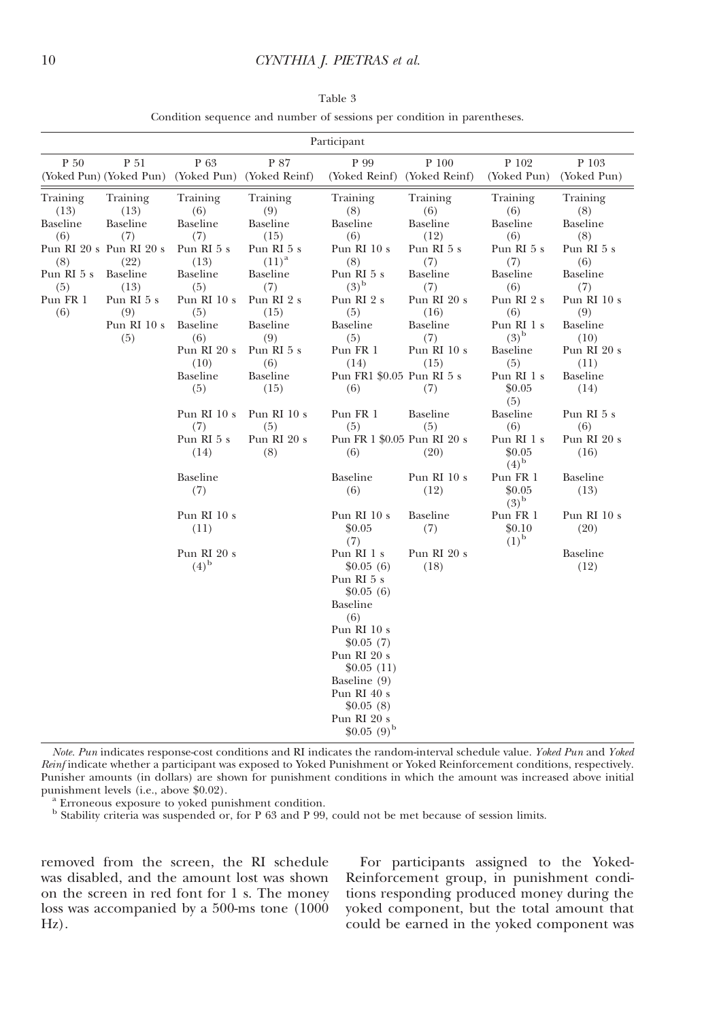| Participant                                              |                                                                                    |                                                                                                                                           |                                                                                                                                                 |                                                                                                                                                                                                                                                     |                                                                                                               |                                                                                                                                                      |                                                                                                                                      |  |
|----------------------------------------------------------|------------------------------------------------------------------------------------|-------------------------------------------------------------------------------------------------------------------------------------------|-------------------------------------------------------------------------------------------------------------------------------------------------|-----------------------------------------------------------------------------------------------------------------------------------------------------------------------------------------------------------------------------------------------------|---------------------------------------------------------------------------------------------------------------|------------------------------------------------------------------------------------------------------------------------------------------------------|--------------------------------------------------------------------------------------------------------------------------------------|--|
| P 50                                                     | P 51<br>(Yoked Pun) (Yoked Pun)                                                    | P 63<br>(Yoked Pun)                                                                                                                       | P 87<br>(Yoked Reinf)                                                                                                                           | P 99<br>(Yoked Reinf)                                                                                                                                                                                                                               | P 100<br>(Yoked Reinf)                                                                                        | P 102<br>(Yoked Pun)                                                                                                                                 | P 103<br>(Yoked Pun)                                                                                                                 |  |
| Training<br>(13)<br>Baseline<br>(6)<br>(8)<br>Pun RI 5 s | Training<br>(13)<br>Baseline<br>(7)<br>Pun RI 20 s Pun RI 20 s<br>(22)<br>Baseline | Training<br>(6)<br>Baseline<br>(7)<br>Pun RI 5 s<br>(13)<br>Baseline                                                                      | Training<br>(9)<br>Baseline<br>(15)<br>Pun RI 5 s<br>$(11)^{a}$<br><b>Baseline</b>                                                              | Training<br>(8)<br>Baseline<br>(6)<br>Pun RI 10 s<br>(8)<br>Pun RI 5 s                                                                                                                                                                              | Training<br>(6)<br><b>Baseline</b><br>(12)<br>Pun RI 5 s<br>(7)<br>Baseline                                   | Training<br>(6)<br><b>Baseline</b><br>(6)<br>Pun RI 5 s<br>(7)<br><b>Baseline</b>                                                                    | Training<br>(8)<br>Baseline<br>(8)<br>Pun RI 5 s<br>(6)<br>Baseline                                                                  |  |
| (5)<br>Pun FR 1<br>(6)                                   | (13)<br>Pun RI 5 s<br>(9)<br>Pun RI 10 s<br>(5)                                    | (5)<br>Pun RI 10 s<br>(5)<br>Baseline<br>(6)<br>Pun RI 20 s<br>(10)<br><b>Baseline</b><br>(5)<br>Pun RI 10 s<br>(7)<br>Pun RI 5 s<br>(14) | (7)<br>Pun RI 2 s<br>(15)<br><b>Baseline</b><br>(9)<br>Pun RI 5 s<br>(6)<br><b>Baseline</b><br>(15)<br>Pun RI 10 s<br>(5)<br>Pun RI 20 s<br>(8) | $(3)^{\rm b}$<br>Pun RI 2 s<br>(5)<br>Baseline<br>(5)<br>Pun FR 1<br>(14)<br>Pun FR1 \$0.05 Pun RI 5 s<br>(6)<br>Pun FR 1<br>(5)<br>Pun FR 1 \$0.05 Pun RI 20 s<br>(6)                                                                              | (7)<br>Pun RI 20 s<br>(16)<br>Baseline<br>(7)<br>Pun RI 10 s<br>(15)<br>(7)<br><b>Baseline</b><br>(5)<br>(20) | (6)<br>Pun RI 2 s<br>(6)<br>Pun RI 1 s<br>$(3)^{\rm b}$<br>Baseline<br>(5)<br>Pun RI 1 s<br>\$0.05<br>(5)<br>Baseline<br>(6)<br>Pun RI 1 s<br>\$0.05 | (7)<br>Pun RI 10 s<br>(9)<br>Baseline<br>(10)<br>Pun RI 20 s<br>(11)<br>Baseline<br>(14)<br>Pun RI 5 s<br>(6)<br>Pun RI 20 s<br>(16) |  |
|                                                          |                                                                                    | <b>Baseline</b><br>(7)                                                                                                                    |                                                                                                                                                 | <b>Baseline</b><br>(6)                                                                                                                                                                                                                              | Pun RI 10 s<br>(12)                                                                                           | $(4)^{b}$<br>Pun FR 1<br>\$0.05<br>$(3)^{b}$                                                                                                         | Baseline<br>(13)                                                                                                                     |  |
|                                                          |                                                                                    | Pun RI 10 s<br>(11)<br>Pun RI 20 s<br>$(4)^{b}$                                                                                           |                                                                                                                                                 | Pun RI 10 s<br>\$0.05<br>(7)<br>Pun RI 1 s<br>\$0.05(6)<br>Pun RI 5 s<br>\$0.05(6)<br>Baseline<br>(6)<br>Pun RI 10 s<br>\$0.05(7)<br>Pun RI 20 s<br>\$0.05(11)<br>Baseline (9)<br>Pun RI 40 s<br>\$0.05(8)<br>Pun RI 20 s<br>\$0.05(9) <sup>b</sup> | <b>Baseline</b><br>(7)<br>Pun RI 20 s<br>(18)                                                                 | Pun FR 1<br>\$0.10<br>$(1)^{\rm b}$                                                                                                                  | Pun RI 10 s<br>(20)<br>Baseline<br>(12)                                                                                              |  |

Table 3 Condition sequence and number of sessions per condition in parentheses.

Note. Pun indicates response-cost conditions and RI indicates the random-interval schedule value. Yoked Pun and Yoked Reinf indicate whether a participant was exposed to Yoked Punishment or Yoked Reinforcement conditions, respectively. Punisher amounts (in dollars) are shown for punishment conditions in which the amount was increased above initial punishment levels (i.e., above \$0.02).

 $n<sup>b</sup>$  Stability criteria was suspended or, for P 63 and P 99, could not be met because of session limits.

removed from the screen, the RI schedule was disabled, and the amount lost was shown on the screen in red font for 1 s. The money loss was accompanied by a 500-ms tone (1000  $Hz$ ).

For participants assigned to the Yoked-Reinforcement group, in punishment conditions responding produced money during the yoked component, but the total amount that could be earned in the yoked component was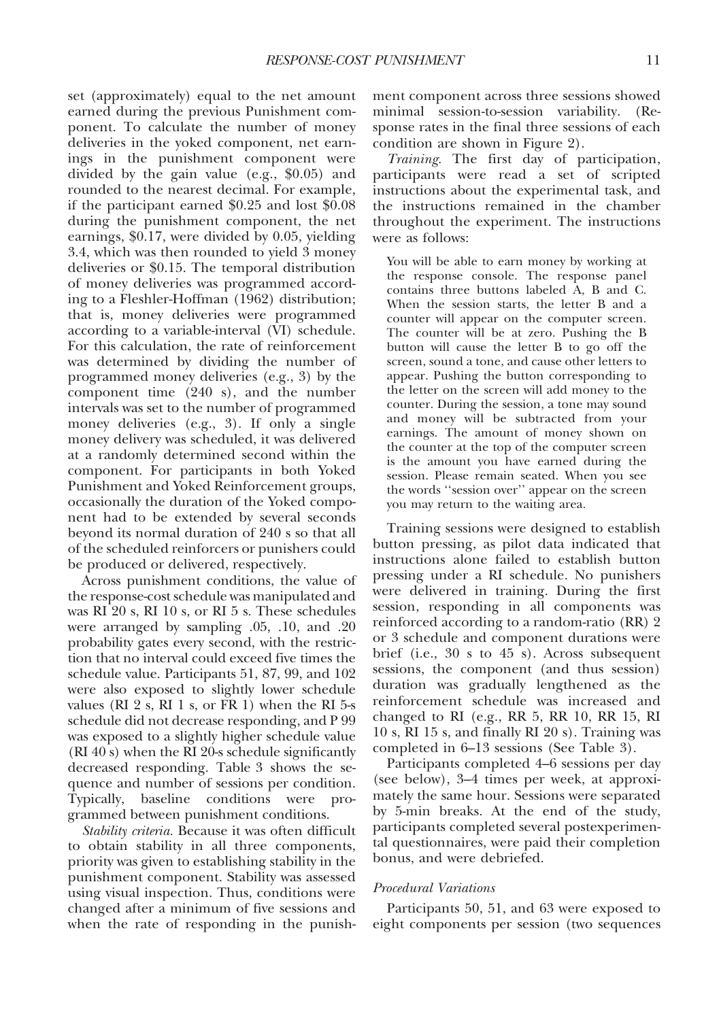set (approximately) equal to the net amount earned during the previous Punishment component. To calculate the number of money deliveries in the yoked component, net earnings in the punishment component were divided by the gain value (e.g., \$0.05) and rounded to the nearest decimal. For example, if the participant earned \$0.25 and lost \$0.08 during the punishment component, the net earnings, \$0.17, were divided by 0.05, yielding 3.4, which was then rounded to yield 3 money deliveries or \$0.15. The temporal distribution of money deliveries was programmed according to a Fleshler-Hoffman (1962) distribution; that is, money deliveries were programmed according to a variable-interval (VI) schedule. For this calculation, the rate of reinforcement was determined by dividing the number of programmed money deliveries (e.g., 3) by the component time (240 s), and the number intervals was set to the number of programmed money deliveries (e.g., 3). If only a single money delivery was scheduled, it was delivered at a randomly determined second within the component. For participants in both Yoked Punishment and Yoked Reinforcement groups, occasionally the duration of the Yoked component had to be extended by several seconds beyond its normal duration of 240 s so that all of the scheduled reinforcers or punishers could be produced or delivered, respectively.

Across punishment conditions, the value of the response-cost schedule was manipulated and was RI 20 s, RI 10 s, or RI 5 s. These schedules were arranged by sampling .05, .10, and .20 probability gates every second, with the restriction that no interval could exceed five times the schedule value. Participants 51, 87, 99, and 102 were also exposed to slightly lower schedule values (RI 2 s, RI 1 s, or FR 1) when the RI  $5$ -s schedule did not decrease responding, and P 99 was exposed to a slightly higher schedule value (RI 40 s) when the RI 20-s schedule significantly decreased responding. Table 3 shows the sequence and number of sessions per condition. Typically, baseline conditions were programmed between punishment conditions.

Stability criteria. Because it was often difficult to obtain stability in all three components, priority was given to establishing stability in the punishment component. Stability was assessed using visual inspection. Thus, conditions were changed after a minimum of five sessions and when the rate of responding in the punishment component across three sessions showed minimal session-to-session variability. (Response rates in the final three sessions of each condition are shown in Figure 2).

Training. The first day of participation, participants were read a set of scripted instructions about the experimental task, and the instructions remained in the chamber throughout the experiment. The instructions were as follows:

You will be able to earn money by working at the response console. The response panel contains three buttons labeled A, B and C. When the session starts, the letter B and a counter will appear on the computer screen. The counter will be at zero. Pushing the B button will cause the letter B to go off the screen, sound a tone, and cause other letters to appear. Pushing the button corresponding to the letter on the screen will add money to the counter. During the session, a tone may sound and money will be subtracted from your earnings. The amount of money shown on the counter at the top of the computer screen is the amount you have earned during the session. Please remain seated. When you see the words ''session over'' appear on the screen you may return to the waiting area.

Training sessions were designed to establish button pressing, as pilot data indicated that instructions alone failed to establish button pressing under a RI schedule. No punishers were delivered in training. During the first session, responding in all components was reinforced according to a random-ratio (RR) 2 or 3 schedule and component durations were brief (i.e., 30 s to 45 s). Across subsequent sessions, the component (and thus session) duration was gradually lengthened as the reinforcement schedule was increased and changed to RI (e.g., RR  $5$ , RR  $10$ , RR  $15$ , RI 10 s, RI 15 s, and finally RI 20 s). Training was completed in 6–13 sessions (See Table 3).

Participants completed 4–6 sessions per day (see below), 3–4 times per week, at approximately the same hour. Sessions were separated by 5-min breaks. At the end of the study, participants completed several postexperimental questionnaires, were paid their completion bonus, and were debriefed.

## Procedural Variations

Participants 50, 51, and 63 were exposed to eight components per session (two sequences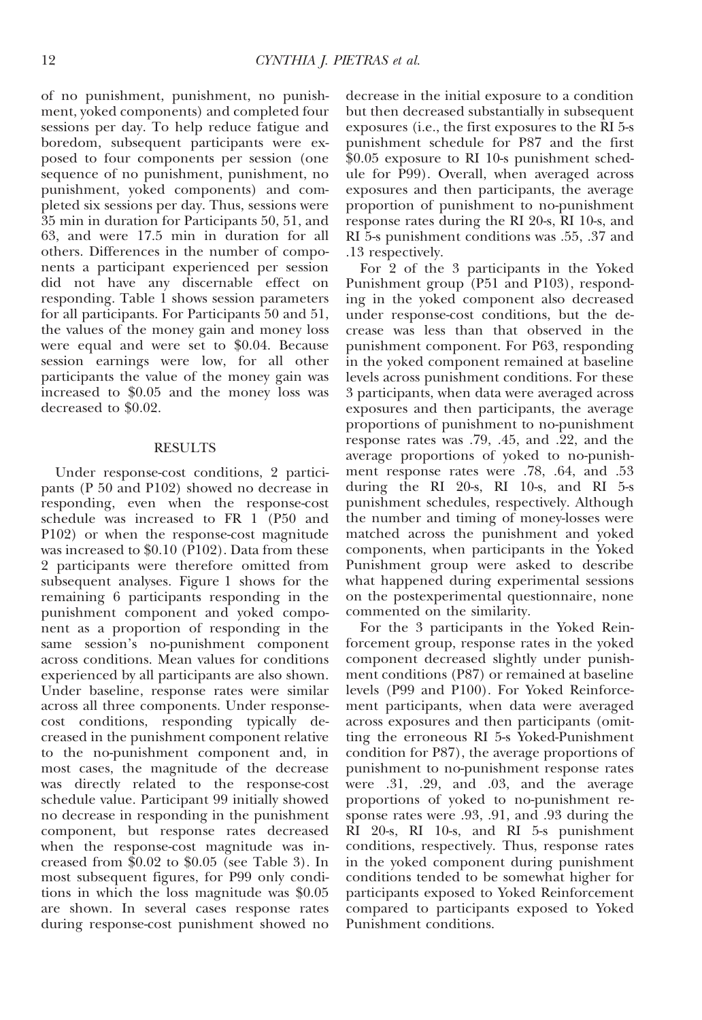of no punishment, punishment, no punishment, yoked components) and completed four sessions per day. To help reduce fatigue and boredom, subsequent participants were exposed to four components per session (one sequence of no punishment, punishment, no punishment, yoked components) and completed six sessions per day. Thus, sessions were 35 min in duration for Participants 50, 51, and 63, and were 17.5 min in duration for all others. Differences in the number of components a participant experienced per session did not have any discernable effect on responding. Table 1 shows session parameters for all participants. For Participants 50 and 51, the values of the money gain and money loss were equal and were set to \$0.04. Because session earnings were low, for all other participants the value of the money gain was increased to \$0.05 and the money loss was decreased to \$0.02.

## RESULTS

Under response-cost conditions, 2 participants (P 50 and P102) showed no decrease in responding, even when the response-cost schedule was increased to FR 1 (P50 and P102) or when the response-cost magnitude was increased to \$0.10 (P102). Data from these 2 participants were therefore omitted from subsequent analyses. Figure 1 shows for the remaining 6 participants responding in the punishment component and yoked component as a proportion of responding in the same session's no-punishment component across conditions. Mean values for conditions experienced by all participants are also shown. Under baseline, response rates were similar across all three components. Under responsecost conditions, responding typically decreased in the punishment component relative to the no-punishment component and, in most cases, the magnitude of the decrease was directly related to the response-cost schedule value. Participant 99 initially showed no decrease in responding in the punishment component, but response rates decreased when the response-cost magnitude was increased from \$0.02 to \$0.05 (see Table 3). In most subsequent figures, for P99 only conditions in which the loss magnitude was \$0.05 are shown. In several cases response rates during response-cost punishment showed no

decrease in the initial exposure to a condition but then decreased substantially in subsequent exposures (i.e., the first exposures to the RI 5-s punishment schedule for P87 and the first \$0.05 exposure to RI 10-s punishment schedule for P99). Overall, when averaged across exposures and then participants, the average proportion of punishment to no-punishment response rates during the RI 20-s, RI 10-s, and RI 5-s punishment conditions was .55, .37 and .13 respectively.

For 2 of the 3 participants in the Yoked Punishment group (P51 and P103), responding in the yoked component also decreased under response-cost conditions, but the decrease was less than that observed in the punishment component. For P63, responding in the yoked component remained at baseline levels across punishment conditions. For these 3 participants, when data were averaged across exposures and then participants, the average proportions of punishment to no-punishment response rates was .79, .45, and .22, and the average proportions of yoked to no-punishment response rates were .78, .64, and .53 during the RI 20-s, RI 10-s, and RI 5-s punishment schedules, respectively. Although the number and timing of money-losses were matched across the punishment and yoked components, when participants in the Yoked Punishment group were asked to describe what happened during experimental sessions on the postexperimental questionnaire, none commented on the similarity.

For the 3 participants in the Yoked Reinforcement group, response rates in the yoked component decreased slightly under punishment conditions (P87) or remained at baseline levels (P99 and P100). For Yoked Reinforcement participants, when data were averaged across exposures and then participants (omitting the erroneous RI 5-s Yoked-Punishment condition for P87), the average proportions of punishment to no-punishment response rates were .31, .29, and .03, and the average proportions of yoked to no-punishment response rates were .93, .91, and .93 during the RI 20-s, RI 10-s, and RI 5-s punishment conditions, respectively. Thus, response rates in the yoked component during punishment conditions tended to be somewhat higher for participants exposed to Yoked Reinforcement compared to participants exposed to Yoked Punishment conditions.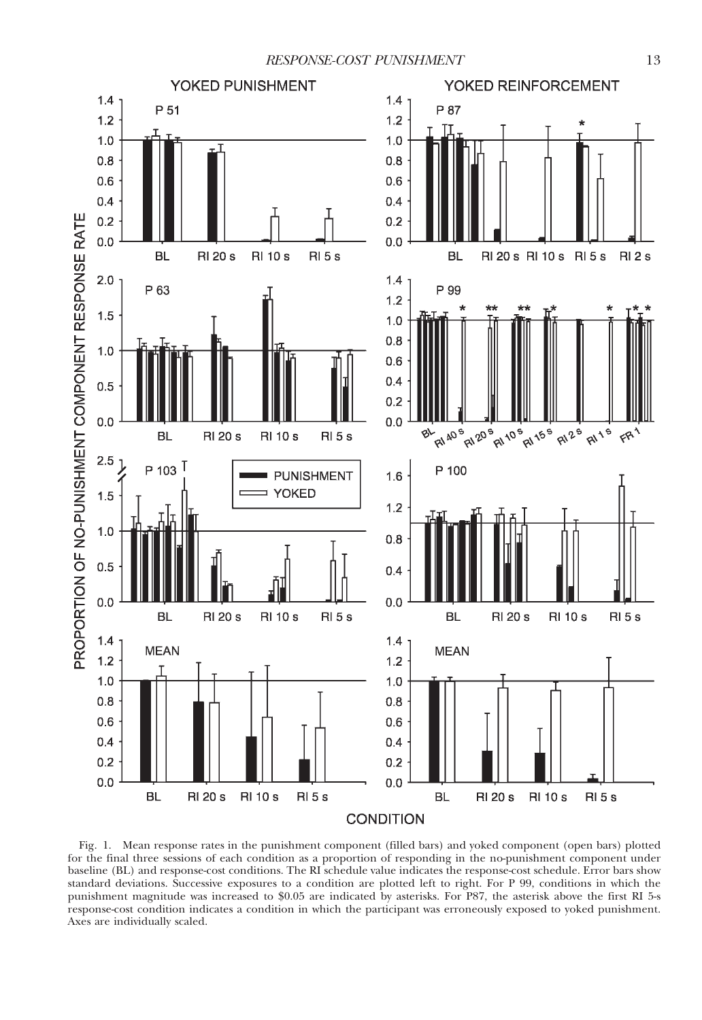

Fig. 1. Mean response rates in the punishment component (filled bars) and yoked component (open bars) plotted for the final three sessions of each condition as a proportion of responding in the no-punishment component under baseline (BL) and response-cost conditions. The RI schedule value indicates the response-cost schedule. Error bars show standard deviations. Successive exposures to a condition are plotted left to right. For P 99, conditions in which the punishment magnitude was increased to \$0.05 are indicated by asterisks. For P87, the asterisk above the first RI 5-s response-cost condition indicates a condition in which the participant was erroneously exposed to yoked punishment. Axes are individually scaled.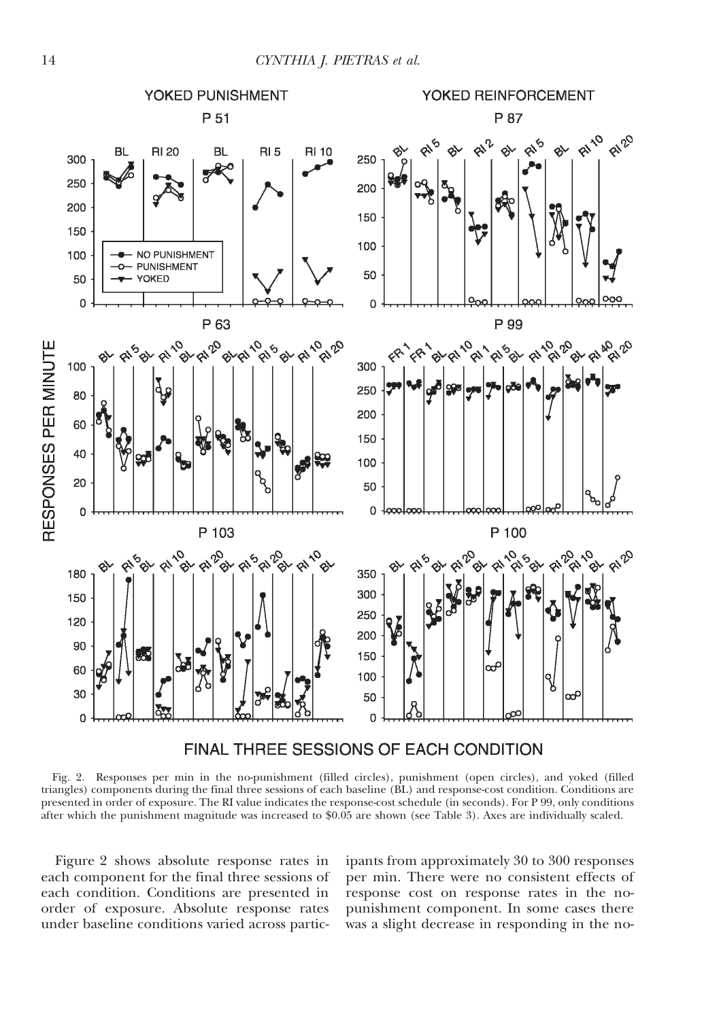

Fig. 2. Responses per min in the no-punishment (filled circles), punishment (open circles), and yoked (filled triangles) components during the final three sessions of each baseline (BL) and response-cost condition. Conditions are presented in order of exposure. The RI value indicates the response-cost schedule (in seconds). For P 99, only conditions after which the punishment magnitude was increased to \$0.05 are shown (see Table 3). Axes are individually scaled.

Figure 2 shows absolute response rates in each component for the final three sessions of each condition. Conditions are presented in order of exposure. Absolute response rates under baseline conditions varied across participants from approximately 30 to 300 responses per min. There were no consistent effects of response cost on response rates in the nopunishment component. In some cases there was a slight decrease in responding in the no-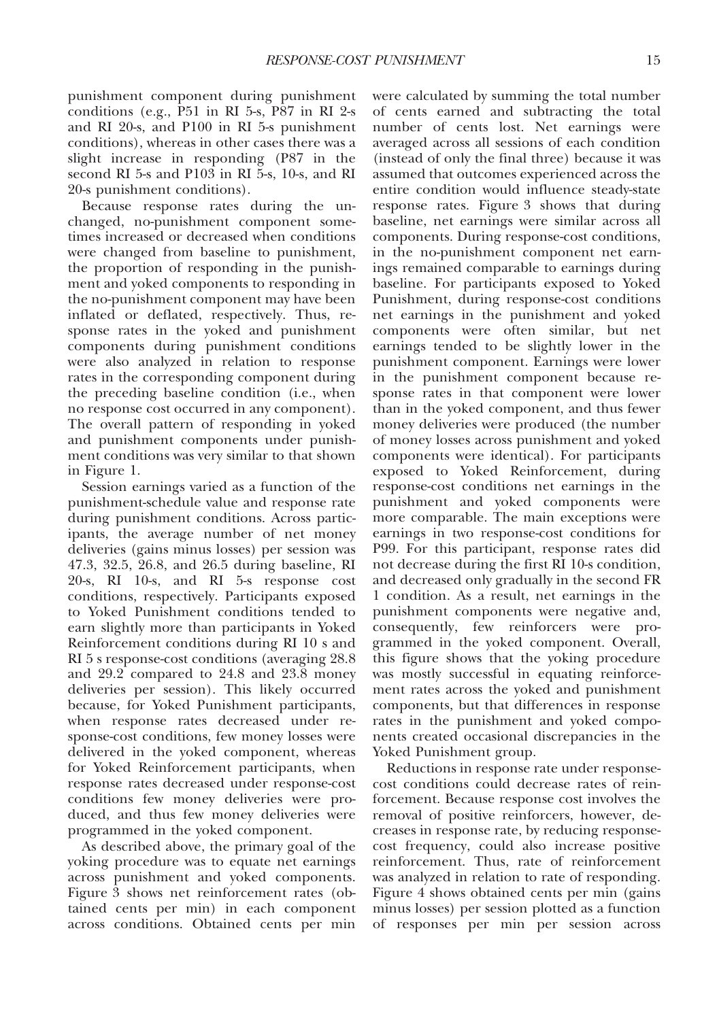punishment component during punishment conditions (e.g., P51 in RI 5-s, P87 in RI 2-s and RI 20-s, and P100 in RI 5-s punishment conditions), whereas in other cases there was a slight increase in responding (P87 in the second RI 5-s and P103 in RI 5-s, 10-s, and RI 20-s punishment conditions).

Because response rates during the unchanged, no-punishment component sometimes increased or decreased when conditions were changed from baseline to punishment, the proportion of responding in the punishment and yoked components to responding in the no-punishment component may have been inflated or deflated, respectively. Thus, response rates in the yoked and punishment components during punishment conditions were also analyzed in relation to response rates in the corresponding component during the preceding baseline condition (i.e., when no response cost occurred in any component). The overall pattern of responding in yoked and punishment components under punishment conditions was very similar to that shown in Figure 1.

Session earnings varied as a function of the punishment-schedule value and response rate during punishment conditions. Across participants, the average number of net money deliveries (gains minus losses) per session was 47.3, 32.5, 26.8, and 26.5 during baseline, RI 20-s, RI 10-s, and RI 5-s response cost conditions, respectively. Participants exposed to Yoked Punishment conditions tended to earn slightly more than participants in Yoked Reinforcement conditions during RI 10 s and RI 5 s response-cost conditions (averaging 28.8 and 29.2 compared to 24.8 and 23.8 money deliveries per session). This likely occurred because, for Yoked Punishment participants, when response rates decreased under response-cost conditions, few money losses were delivered in the yoked component, whereas for Yoked Reinforcement participants, when response rates decreased under response-cost conditions few money deliveries were produced, and thus few money deliveries were programmed in the yoked component.

As described above, the primary goal of the yoking procedure was to equate net earnings across punishment and yoked components. Figure 3 shows net reinforcement rates (obtained cents per min) in each component across conditions. Obtained cents per min

were calculated by summing the total number of cents earned and subtracting the total number of cents lost. Net earnings were averaged across all sessions of each condition (instead of only the final three) because it was assumed that outcomes experienced across the entire condition would influence steady-state response rates. Figure 3 shows that during baseline, net earnings were similar across all components. During response-cost conditions, in the no-punishment component net earnings remained comparable to earnings during baseline. For participants exposed to Yoked Punishment, during response-cost conditions net earnings in the punishment and yoked components were often similar, but net earnings tended to be slightly lower in the punishment component. Earnings were lower in the punishment component because response rates in that component were lower than in the yoked component, and thus fewer money deliveries were produced (the number of money losses across punishment and yoked components were identical). For participants exposed to Yoked Reinforcement, during response-cost conditions net earnings in the punishment and yoked components were more comparable. The main exceptions were earnings in two response-cost conditions for P99. For this participant, response rates did not decrease during the first RI 10-s condition, and decreased only gradually in the second FR 1 condition. As a result, net earnings in the punishment components were negative and, consequently, few reinforcers were programmed in the yoked component. Overall, this figure shows that the yoking procedure was mostly successful in equating reinforcement rates across the yoked and punishment components, but that differences in response rates in the punishment and yoked components created occasional discrepancies in the Yoked Punishment group.

Reductions in response rate under responsecost conditions could decrease rates of reinforcement. Because response cost involves the removal of positive reinforcers, however, decreases in response rate, by reducing responsecost frequency, could also increase positive reinforcement. Thus, rate of reinforcement was analyzed in relation to rate of responding. Figure 4 shows obtained cents per min (gains minus losses) per session plotted as a function of responses per min per session across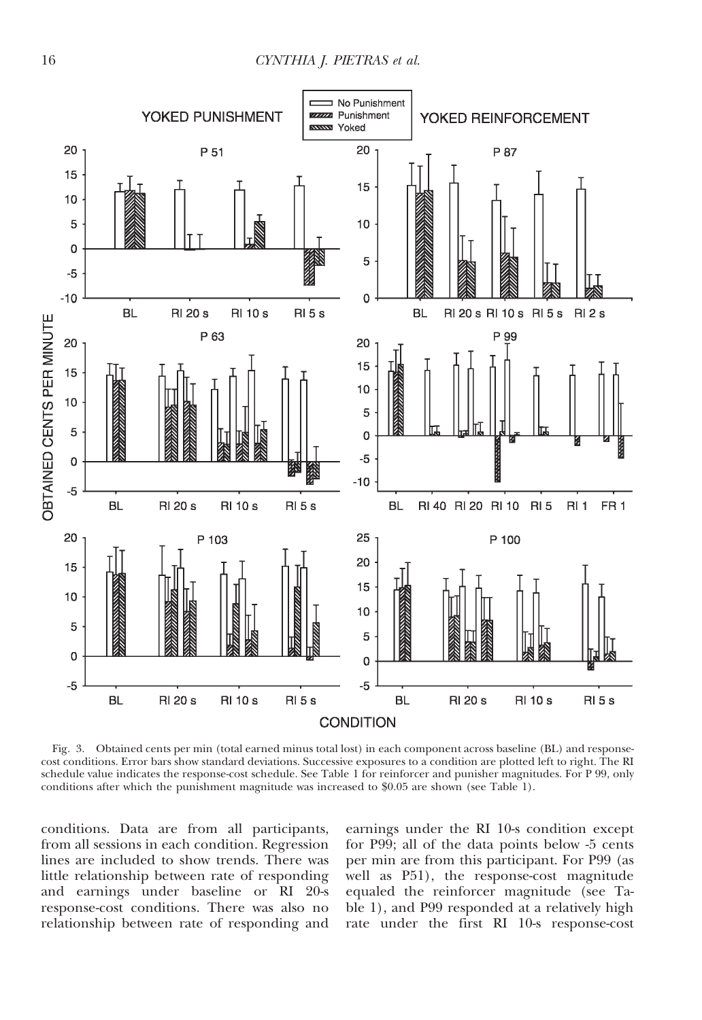

Fig. 3. Obtained cents per min (total earned minus total lost) in each component across baseline (BL) and responsecost conditions. Error bars show standard deviations. Successive exposures to a condition are plotted left to right. The RI schedule value indicates the response-cost schedule. See Table 1 for reinforcer and punisher magnitudes. For P 99, only conditions after which the punishment magnitude was increased to \$0.05 are shown (see Table 1).

conditions. Data are from all participants, from all sessions in each condition. Regression lines are included to show trends. There was little relationship between rate of responding and earnings under baseline or RI 20-s response-cost conditions. There was also no relationship between rate of responding and

earnings under the RI 10-s condition except for P99; all of the data points below -5 cents per min are from this participant. For P99 (as well as P51), the response-cost magnitude equaled the reinforcer magnitude (see Table 1), and P99 responded at a relatively high rate under the first RI 10-s response-cost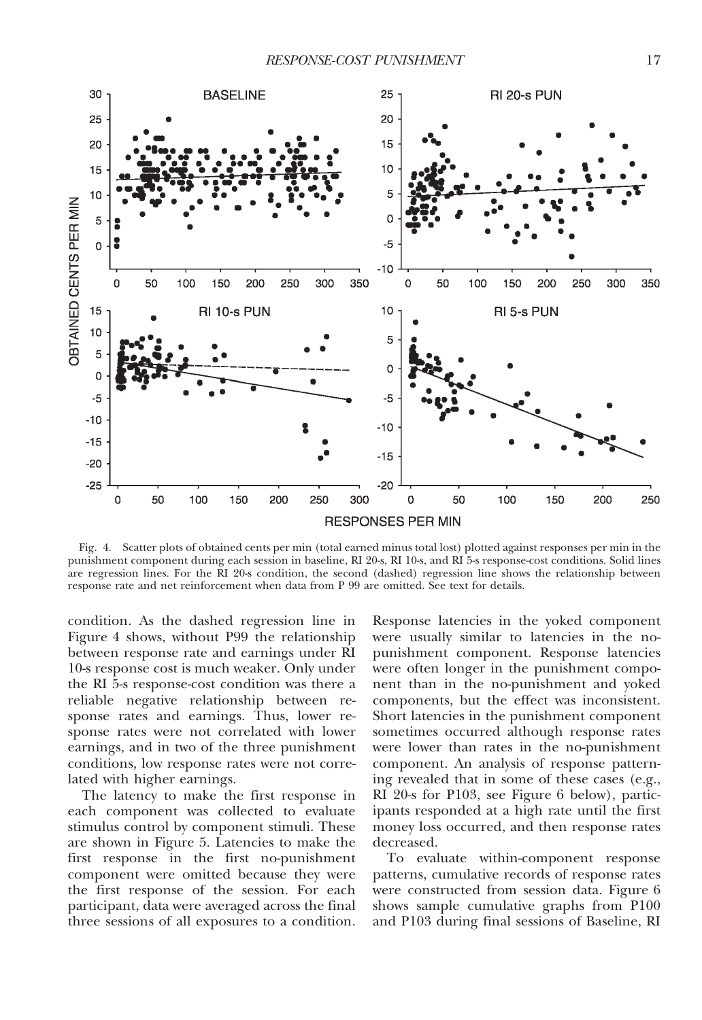

Fig. 4. Scatter plots of obtained cents per min (total earned minus total lost) plotted against responses per min in the punishment component during each session in baseline, RI 20-s, RI 10-s, and RI 5-s response-cost conditions. Solid lines are regression lines. For the RI 20-s condition, the second (dashed) regression line shows the relationship between response rate and net reinforcement when data from P 99 are omitted. See text for details.

condition. As the dashed regression line in Figure 4 shows, without P99 the relationship between response rate and earnings under RI 10-s response cost is much weaker. Only under the RI 5-s response-cost condition was there a reliable negative relationship between response rates and earnings. Thus, lower response rates were not correlated with lower earnings, and in two of the three punishment conditions, low response rates were not correlated with higher earnings.

The latency to make the first response in each component was collected to evaluate stimulus control by component stimuli. These are shown in Figure 5. Latencies to make the first response in the first no-punishment component were omitted because they were the first response of the session. For each participant, data were averaged across the final three sessions of all exposures to a condition.

Response latencies in the yoked component were usually similar to latencies in the nopunishment component. Response latencies were often longer in the punishment component than in the no-punishment and yoked components, but the effect was inconsistent. Short latencies in the punishment component sometimes occurred although response rates were lower than rates in the no-punishment component. An analysis of response patterning revealed that in some of these cases (e.g., RI 20-s for P103, see Figure 6 below), participants responded at a high rate until the first money loss occurred, and then response rates decreased.

To evaluate within-component response patterns, cumulative records of response rates were constructed from session data. Figure 6 shows sample cumulative graphs from P100 and P103 during final sessions of Baseline, RI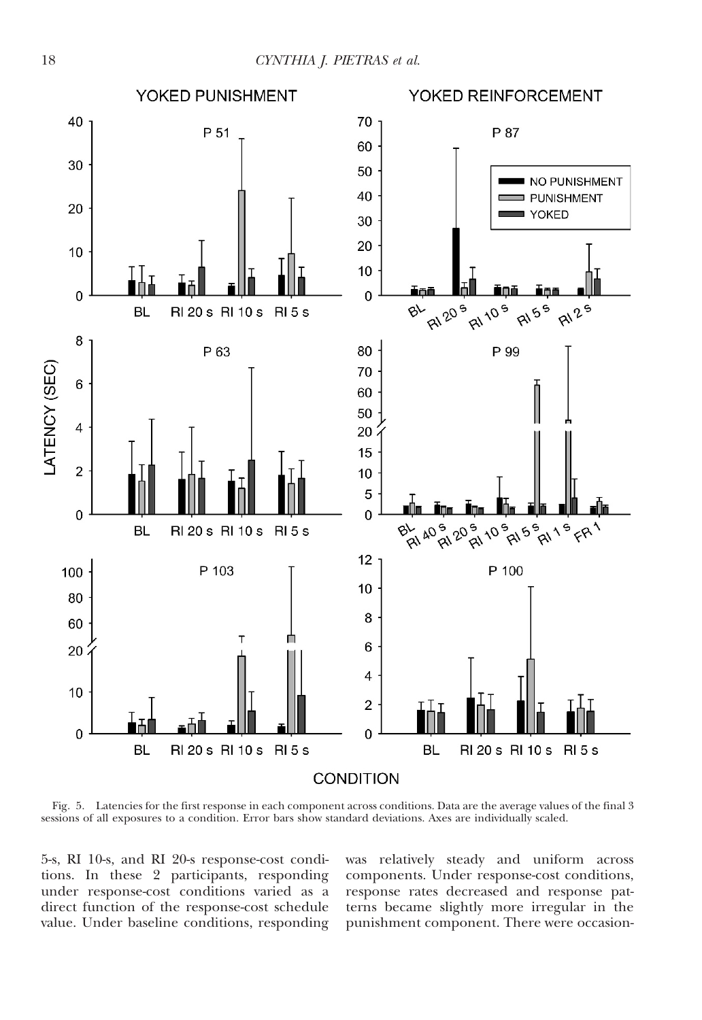

Fig. 5. Latencies for the first response in each component across conditions. Data are the average values of the final 3 sessions of all exposures to a condition. Error bars show standard deviations. Axes are individually scaled.

5-s, RI 10-s, and RI 20-s response-cost conditions. In these 2 participants, responding under response-cost conditions varied as a direct function of the response-cost schedule value. Under baseline conditions, responding was relatively steady and uniform across components. Under response-cost conditions, response rates decreased and response patterns became slightly more irregular in the punishment component. There were occasion-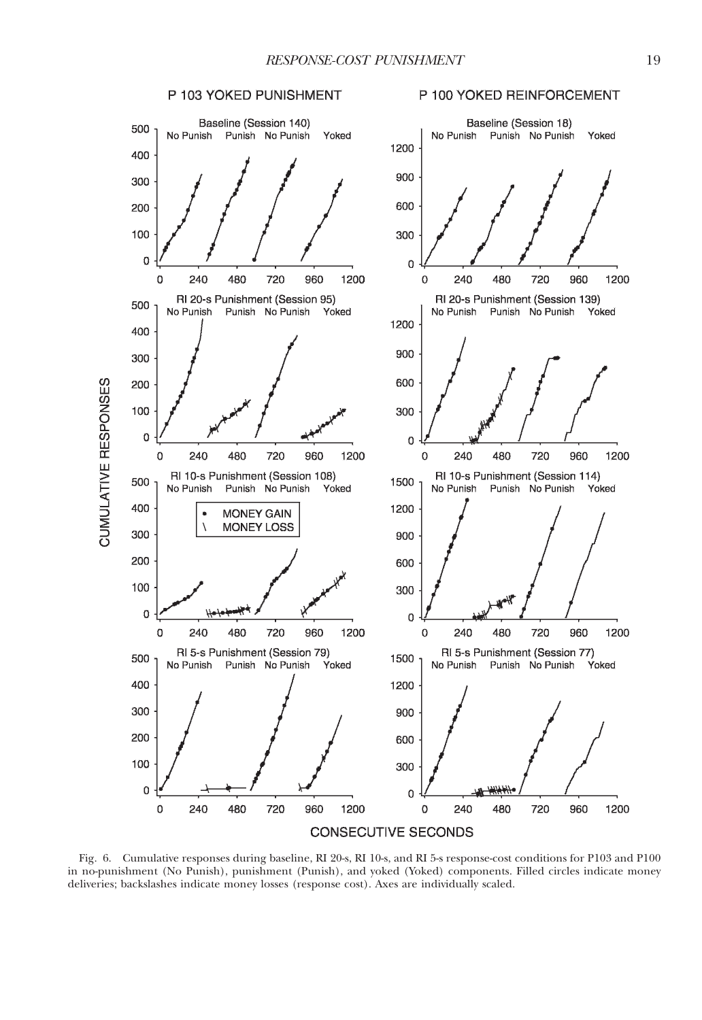# P 103 YOKED PUNISHMENT

#### P 100 YOKED REINFORCEMENT



Fig. 6. Cumulative responses during baseline, RI 20-s, RI 10-s, and RI 5-s response-cost conditions for P103 and P100 in no-punishment (No Punish), punishment (Punish), and yoked (Yoked) components. Filled circles indicate money deliveries; backslashes indicate money losses (response cost). Axes are individually scaled.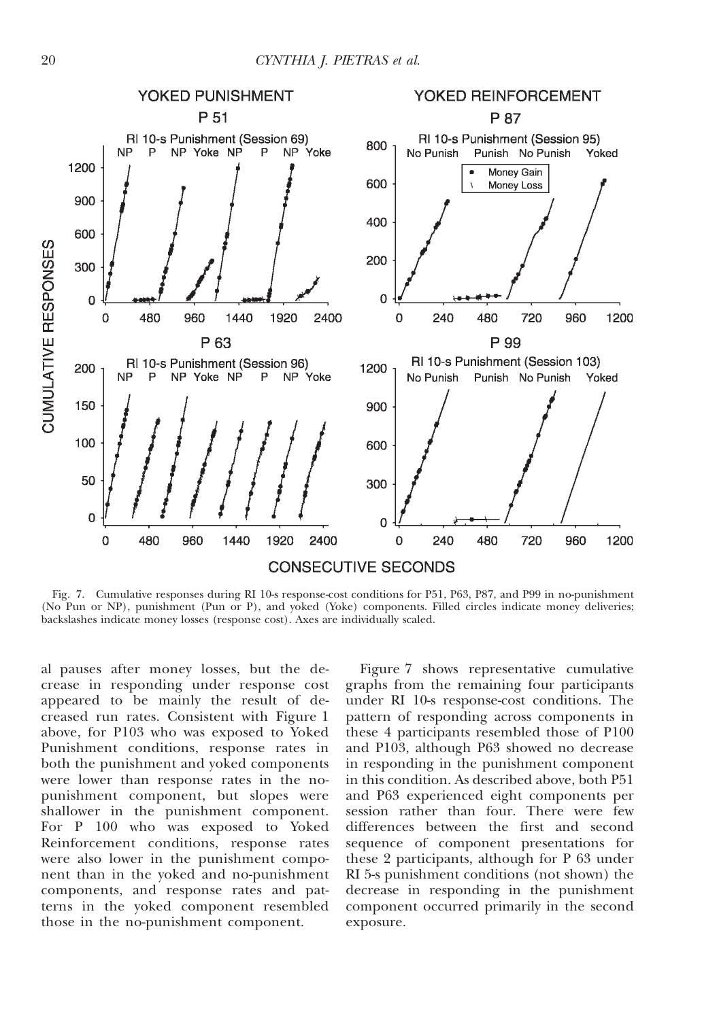

Fig. 7. Cumulative responses during RI 10-s response-cost conditions for P51, P63, P87, and P99 in no-punishment (No Pun or NP), punishment (Pun or P), and yoked (Yoke) components. Filled circles indicate money deliveries; backslashes indicate money losses (response cost). Axes are individually scaled.

al pauses after money losses, but the decrease in responding under response cost appeared to be mainly the result of decreased run rates. Consistent with Figure 1 above, for P103 who was exposed to Yoked Punishment conditions, response rates in both the punishment and yoked components were lower than response rates in the nopunishment component, but slopes were shallower in the punishment component. For P 100 who was exposed to Yoked Reinforcement conditions, response rates were also lower in the punishment component than in the yoked and no-punishment components, and response rates and patterns in the yoked component resembled those in the no-punishment component.

Figure 7 shows representative cumulative graphs from the remaining four participants under RI 10-s response-cost conditions. The pattern of responding across components in these 4 participants resembled those of P100 and P103, although P63 showed no decrease in responding in the punishment component in this condition. As described above, both P51 and P63 experienced eight components per session rather than four. There were few differences between the first and second sequence of component presentations for these 2 participants, although for P 63 under RI 5-s punishment conditions (not shown) the decrease in responding in the punishment component occurred primarily in the second exposure.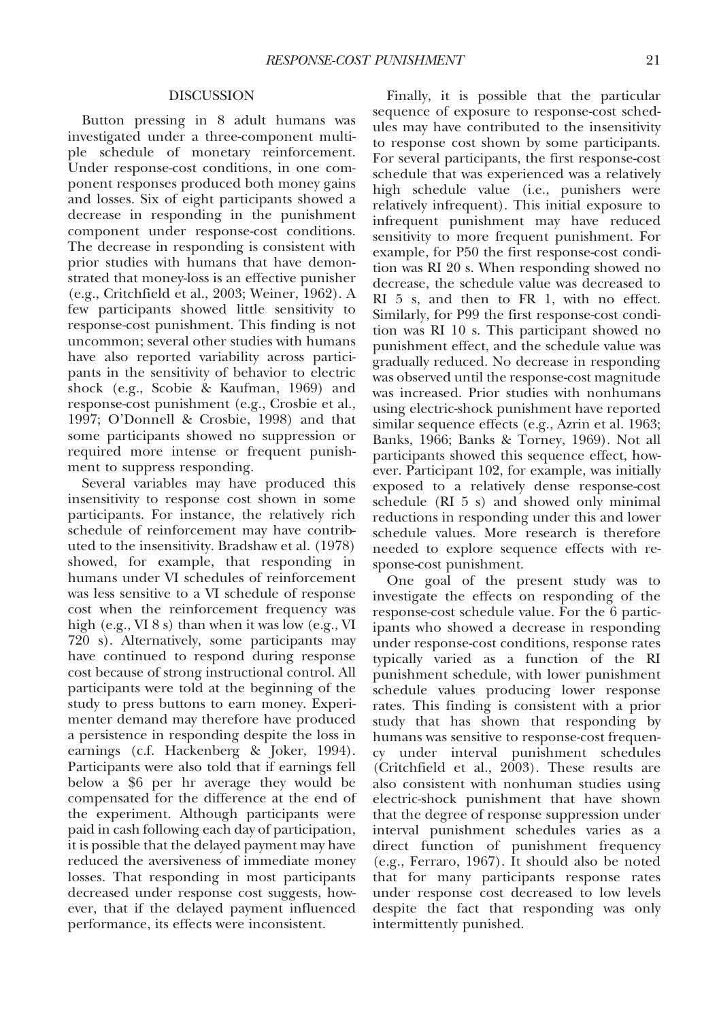## DISCUSSION

Button pressing in 8 adult humans was investigated under a three-component multiple schedule of monetary reinforcement. Under response-cost conditions, in one component responses produced both money gains and losses. Six of eight participants showed a decrease in responding in the punishment component under response-cost conditions. The decrease in responding is consistent with prior studies with humans that have demonstrated that money-loss is an effective punisher (e.g., Critchfield et al., 2003; Weiner, 1962). A few participants showed little sensitivity to response-cost punishment. This finding is not uncommon; several other studies with humans have also reported variability across participants in the sensitivity of behavior to electric shock (e.g., Scobie & Kaufman, 1969) and response-cost punishment (e.g., Crosbie et al., 1997; O'Donnell & Crosbie, 1998) and that some participants showed no suppression or required more intense or frequent punishment to suppress responding.

Several variables may have produced this insensitivity to response cost shown in some participants. For instance, the relatively rich schedule of reinforcement may have contributed to the insensitivity. Bradshaw et al. (1978) showed, for example, that responding in humans under VI schedules of reinforcement was less sensitive to a VI schedule of response cost when the reinforcement frequency was high (e.g., VI 8 s) than when it was low (e.g., VI 720 s). Alternatively, some participants may have continued to respond during response cost because of strong instructional control. All participants were told at the beginning of the study to press buttons to earn money. Experimenter demand may therefore have produced a persistence in responding despite the loss in earnings (c.f. Hackenberg & Joker, 1994). Participants were also told that if earnings fell below a \$6 per hr average they would be compensated for the difference at the end of the experiment. Although participants were paid in cash following each day of participation, it is possible that the delayed payment may have reduced the aversiveness of immediate money losses. That responding in most participants decreased under response cost suggests, however, that if the delayed payment influenced performance, its effects were inconsistent.

Finally, it is possible that the particular sequence of exposure to response-cost schedules may have contributed to the insensitivity to response cost shown by some participants. For several participants, the first response-cost schedule that was experienced was a relatively high schedule value (i.e., punishers were relatively infrequent). This initial exposure to infrequent punishment may have reduced sensitivity to more frequent punishment. For example, for P50 the first response-cost condition was RI 20 s. When responding showed no decrease, the schedule value was decreased to RI 5 s, and then to FR 1, with no effect. Similarly, for P99 the first response-cost condition was RI 10 s. This participant showed no punishment effect, and the schedule value was gradually reduced. No decrease in responding was observed until the response-cost magnitude was increased. Prior studies with nonhumans using electric-shock punishment have reported similar sequence effects (e.g., Azrin et al. 1963; Banks, 1966; Banks & Torney, 1969). Not all participants showed this sequence effect, however. Participant 102, for example, was initially exposed to a relatively dense response-cost schedule (RI 5 s) and showed only minimal reductions in responding under this and lower schedule values. More research is therefore needed to explore sequence effects with response-cost punishment.

One goal of the present study was to investigate the effects on responding of the response-cost schedule value. For the 6 participants who showed a decrease in responding under response-cost conditions, response rates typically varied as a function of the RI punishment schedule, with lower punishment schedule values producing lower response rates. This finding is consistent with a prior study that has shown that responding by humans was sensitive to response-cost frequency under interval punishment schedules (Critchfield et al., 2003). These results are also consistent with nonhuman studies using electric-shock punishment that have shown that the degree of response suppression under interval punishment schedules varies as a direct function of punishment frequency (e.g., Ferraro, 1967). It should also be noted that for many participants response rates under response cost decreased to low levels despite the fact that responding was only intermittently punished.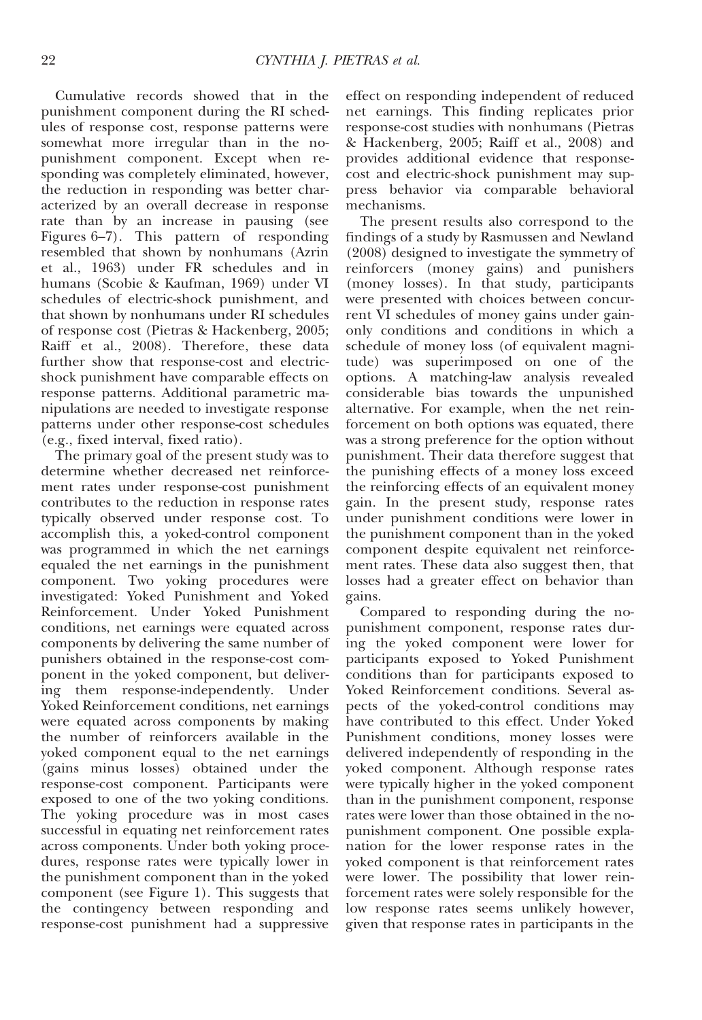Cumulative records showed that in the punishment component during the RI schedules of response cost, response patterns were somewhat more irregular than in the nopunishment component. Except when responding was completely eliminated, however, the reduction in responding was better characterized by an overall decrease in response rate than by an increase in pausing (see Figures 6–7). This pattern of responding resembled that shown by nonhumans (Azrin et al., 1963) under FR schedules and in humans (Scobie & Kaufman, 1969) under VI schedules of electric-shock punishment, and that shown by nonhumans under RI schedules of response cost (Pietras & Hackenberg, 2005; Raiff et al., 2008). Therefore, these data further show that response-cost and electricshock punishment have comparable effects on response patterns. Additional parametric manipulations are needed to investigate response patterns under other response-cost schedules (e.g., fixed interval, fixed ratio).

The primary goal of the present study was to determine whether decreased net reinforcement rates under response-cost punishment contributes to the reduction in response rates typically observed under response cost. To accomplish this, a yoked-control component was programmed in which the net earnings equaled the net earnings in the punishment component. Two yoking procedures were investigated: Yoked Punishment and Yoked Reinforcement. Under Yoked Punishment conditions, net earnings were equated across components by delivering the same number of punishers obtained in the response-cost component in the yoked component, but delivering them response-independently. Under Yoked Reinforcement conditions, net earnings were equated across components by making the number of reinforcers available in the yoked component equal to the net earnings (gains minus losses) obtained under the response-cost component. Participants were exposed to one of the two yoking conditions. The yoking procedure was in most cases successful in equating net reinforcement rates across components. Under both yoking procedures, response rates were typically lower in the punishment component than in the yoked component (see Figure 1). This suggests that the contingency between responding and response-cost punishment had a suppressive

effect on responding independent of reduced net earnings. This finding replicates prior response-cost studies with nonhumans (Pietras & Hackenberg, 2005; Raiff et al., 2008) and provides additional evidence that responsecost and electric-shock punishment may suppress behavior via comparable behavioral mechanisms.

The present results also correspond to the findings of a study by Rasmussen and Newland (2008) designed to investigate the symmetry of reinforcers (money gains) and punishers (money losses). In that study, participants were presented with choices between concurrent VI schedules of money gains under gainonly conditions and conditions in which a schedule of money loss (of equivalent magnitude) was superimposed on one of the options. A matching-law analysis revealed considerable bias towards the unpunished alternative. For example, when the net reinforcement on both options was equated, there was a strong preference for the option without punishment. Their data therefore suggest that the punishing effects of a money loss exceed the reinforcing effects of an equivalent money gain. In the present study, response rates under punishment conditions were lower in the punishment component than in the yoked component despite equivalent net reinforcement rates. These data also suggest then, that losses had a greater effect on behavior than gains.

Compared to responding during the nopunishment component, response rates during the yoked component were lower for participants exposed to Yoked Punishment conditions than for participants exposed to Yoked Reinforcement conditions. Several aspects of the yoked-control conditions may have contributed to this effect. Under Yoked Punishment conditions, money losses were delivered independently of responding in the yoked component. Although response rates were typically higher in the yoked component than in the punishment component, response rates were lower than those obtained in the nopunishment component. One possible explanation for the lower response rates in the yoked component is that reinforcement rates were lower. The possibility that lower reinforcement rates were solely responsible for the low response rates seems unlikely however, given that response rates in participants in the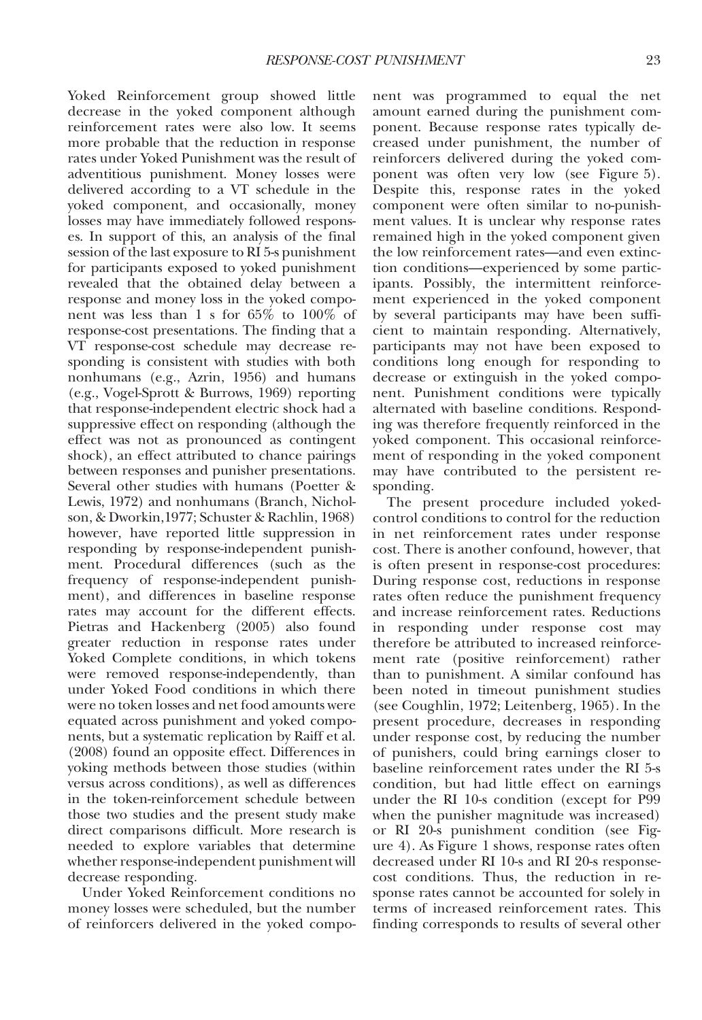Yoked Reinforcement group showed little decrease in the yoked component although reinforcement rates were also low. It seems more probable that the reduction in response rates under Yoked Punishment was the result of adventitious punishment. Money losses were delivered according to a VT schedule in the yoked component, and occasionally, money losses may have immediately followed responses. In support of this, an analysis of the final session of the last exposure to RI 5-s punishment for participants exposed to yoked punishment revealed that the obtained delay between a response and money loss in the yoked component was less than 1 s for 65% to 100% of response-cost presentations. The finding that a VT response-cost schedule may decrease responding is consistent with studies with both nonhumans (e.g., Azrin, 1956) and humans (e.g., Vogel-Sprott & Burrows, 1969) reporting that response-independent electric shock had a suppressive effect on responding (although the effect was not as pronounced as contingent shock), an effect attributed to chance pairings between responses and punisher presentations. Several other studies with humans (Poetter & Lewis, 1972) and nonhumans (Branch, Nicholson, & Dworkin,1977; Schuster & Rachlin, 1968) however, have reported little suppression in responding by response-independent punishment. Procedural differences (such as the frequency of response-independent punishment), and differences in baseline response rates may account for the different effects. Pietras and Hackenberg (2005) also found greater reduction in response rates under Yoked Complete conditions, in which tokens were removed response-independently, than under Yoked Food conditions in which there were no token losses and net food amounts were equated across punishment and yoked components, but a systematic replication by Raiff et al. (2008) found an opposite effect. Differences in yoking methods between those studies (within versus across conditions), as well as differences in the token-reinforcement schedule between those two studies and the present study make direct comparisons difficult. More research is needed to explore variables that determine whether response-independent punishment will decrease responding.

Under Yoked Reinforcement conditions no money losses were scheduled, but the number of reinforcers delivered in the yoked component was programmed to equal the net amount earned during the punishment component. Because response rates typically decreased under punishment, the number of reinforcers delivered during the yoked component was often very low (see Figure 5). Despite this, response rates in the yoked component were often similar to no-punishment values. It is unclear why response rates remained high in the yoked component given the low reinforcement rates—and even extinction conditions—experienced by some participants. Possibly, the intermittent reinforcement experienced in the yoked component by several participants may have been sufficient to maintain responding. Alternatively, participants may not have been exposed to conditions long enough for responding to decrease or extinguish in the yoked component. Punishment conditions were typically alternated with baseline conditions. Responding was therefore frequently reinforced in the yoked component. This occasional reinforcement of responding in the yoked component may have contributed to the persistent responding.

The present procedure included yokedcontrol conditions to control for the reduction in net reinforcement rates under response cost. There is another confound, however, that is often present in response-cost procedures: During response cost, reductions in response rates often reduce the punishment frequency and increase reinforcement rates. Reductions in responding under response cost may therefore be attributed to increased reinforcement rate (positive reinforcement) rather than to punishment. A similar confound has been noted in timeout punishment studies (see Coughlin, 1972; Leitenberg, 1965). In the present procedure, decreases in responding under response cost, by reducing the number of punishers, could bring earnings closer to baseline reinforcement rates under the RI 5-s condition, but had little effect on earnings under the RI 10-s condition (except for P99 when the punisher magnitude was increased) or RI 20-s punishment condition (see Figure 4). As Figure 1 shows, response rates often decreased under RI 10-s and RI 20-s responsecost conditions. Thus, the reduction in response rates cannot be accounted for solely in terms of increased reinforcement rates. This finding corresponds to results of several other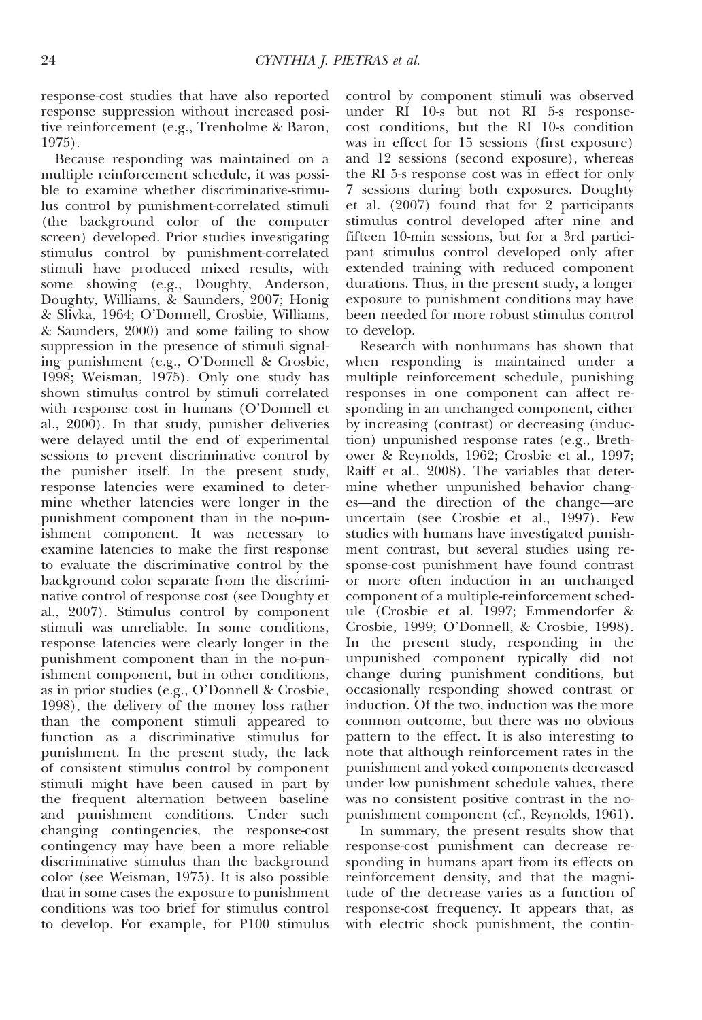response-cost studies that have also reported response suppression without increased positive reinforcement (e.g., Trenholme & Baron, 1975).

Because responding was maintained on a multiple reinforcement schedule, it was possible to examine whether discriminative-stimulus control by punishment-correlated stimuli (the background color of the computer screen) developed. Prior studies investigating stimulus control by punishment-correlated stimuli have produced mixed results, with some showing (e.g., Doughty, Anderson, Doughty, Williams, & Saunders, 2007; Honig & Slivka, 1964; O'Donnell, Crosbie, Williams, & Saunders, 2000) and some failing to show suppression in the presence of stimuli signaling punishment (e.g., O'Donnell & Crosbie, 1998; Weisman, 1975). Only one study has shown stimulus control by stimuli correlated with response cost in humans (O'Donnell et al., 2000). In that study, punisher deliveries were delayed until the end of experimental sessions to prevent discriminative control by the punisher itself. In the present study, response latencies were examined to determine whether latencies were longer in the punishment component than in the no-punishment component. It was necessary to examine latencies to make the first response to evaluate the discriminative control by the background color separate from the discriminative control of response cost (see Doughty et al., 2007). Stimulus control by component stimuli was unreliable. In some conditions, response latencies were clearly longer in the punishment component than in the no-punishment component, but in other conditions, as in prior studies (e.g., O'Donnell & Crosbie, 1998), the delivery of the money loss rather than the component stimuli appeared to function as a discriminative stimulus for punishment. In the present study, the lack of consistent stimulus control by component stimuli might have been caused in part by the frequent alternation between baseline and punishment conditions. Under such changing contingencies, the response-cost contingency may have been a more reliable discriminative stimulus than the background color (see Weisman, 1975). It is also possible that in some cases the exposure to punishment conditions was too brief for stimulus control to develop. For example, for P100 stimulus

control by component stimuli was observed under RI 10-s but not RI 5-s responsecost conditions, but the RI 10-s condition was in effect for 15 sessions (first exposure) and 12 sessions (second exposure), whereas the RI 5-s response cost was in effect for only 7 sessions during both exposures. Doughty et al. (2007) found that for 2 participants stimulus control developed after nine and fifteen 10-min sessions, but for a 3rd participant stimulus control developed only after extended training with reduced component durations. Thus, in the present study, a longer exposure to punishment conditions may have been needed for more robust stimulus control to develop.

Research with nonhumans has shown that when responding is maintained under a multiple reinforcement schedule, punishing responses in one component can affect responding in an unchanged component, either by increasing (contrast) or decreasing (induction) unpunished response rates (e.g., Brethower & Reynolds, 1962; Crosbie et al., 1997; Raiff et al., 2008). The variables that determine whether unpunished behavior changes—and the direction of the change—are uncertain (see Crosbie et al., 1997). Few studies with humans have investigated punishment contrast, but several studies using response-cost punishment have found contrast or more often induction in an unchanged component of a multiple-reinforcement schedule (Crosbie et al. 1997; Emmendorfer & Crosbie, 1999; O'Donnell, & Crosbie, 1998). In the present study, responding in the unpunished component typically did not change during punishment conditions, but occasionally responding showed contrast or induction. Of the two, induction was the more common outcome, but there was no obvious pattern to the effect. It is also interesting to note that although reinforcement rates in the punishment and yoked components decreased under low punishment schedule values, there was no consistent positive contrast in the nopunishment component (cf., Reynolds, 1961).

In summary, the present results show that response-cost punishment can decrease responding in humans apart from its effects on reinforcement density, and that the magnitude of the decrease varies as a function of response-cost frequency. It appears that, as with electric shock punishment, the contin-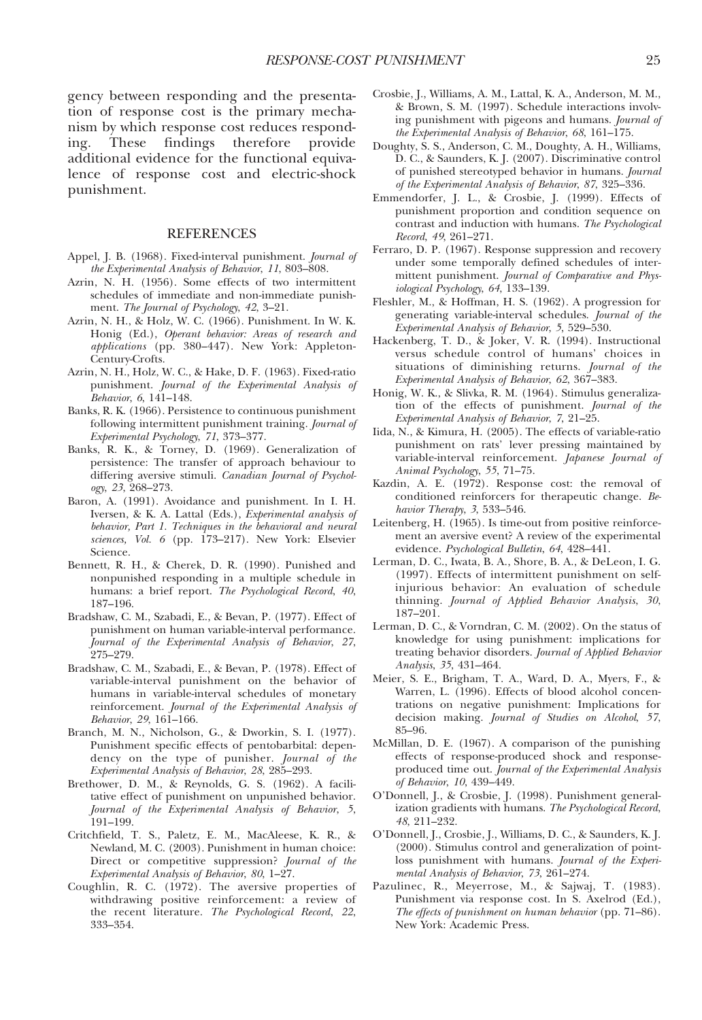gency between responding and the presentation of response cost is the primary mechanism by which response cost reduces respond-<br>ing. These findings therefore provide ing. These findings therefore additional evidence for the functional equivalence of response cost and electric-shock punishment.

## **REFERENCES**

- Appel, J. B. (1968). Fixed-interval punishment. Journal of the Experimental Analysis of Behavior, 11, 803–808.
- Azrin, N. H. (1956). Some effects of two intermittent schedules of immediate and non-immediate punishment. The Journal of Psychology, 42, 3–21.
- Azrin, N. H., & Holz, W. C. (1966). Punishment. In W. K. Honig (Ed.), Operant behavior: Areas of research and applications (pp. 380–447). New York: Appleton-Century-Crofts.
- Azrin, N. H., Holz, W. C., & Hake, D. F. (1963). Fixed-ratio punishment. Journal of the Experimental Analysis of Behavior, 6, 141–148.
- Banks, R. K. (1966). Persistence to continuous punishment following intermittent punishment training. Journal of Experimental Psychology, 71, 373–377.
- Banks, R. K., & Torney, D. (1969). Generalization of persistence: The transfer of approach behaviour to differing aversive stimuli. Canadian Journal of Psychology, 23, 268–273.
- Baron, A. (1991). Avoidance and punishment. In I. H. Iversen, & K. A. Lattal (Eds.), Experimental analysis of behavior, Part 1. Techniques in the behavioral and neural sciences, Vol. 6 (pp. 173–217). New York: Elsevier Science.
- Bennett, R. H., & Cherek, D. R. (1990). Punished and nonpunished responding in a multiple schedule in humans: a brief report. The Psychological Record, 40, 187–196.
- Bradshaw, C. M., Szabadi, E., & Bevan, P. (1977). Effect of punishment on human variable-interval performance. Journal of the Experimental Analysis of Behavior, 27, 275–279.
- Bradshaw, C. M., Szabadi, E., & Bevan, P. (1978). Effect of variable-interval punishment on the behavior of humans in variable-interval schedules of monetary reinforcement. Journal of the Experimental Analysis of Behavior, 29, 161–166.
- Branch, M. N., Nicholson, G., & Dworkin, S. I. (1977). Punishment specific effects of pentobarbital: dependency on the type of punisher. Journal of the Experimental Analysis of Behavior, 28, 285–293.
- Brethower, D. M., & Reynolds, G. S. (1962). A facilitative effect of punishment on unpunished behavior. Journal of the Experimental Analysis of Behavior, 5, 191–199.
- Critchfield, T. S., Paletz, E. M., MacAleese, K. R., & Newland, M. C. (2003). Punishment in human choice: Direct or competitive suppression? Journal of the Experimental Analysis of Behavior, 80, 1–27.
- Coughlin, R. C. (1972). The aversive properties of withdrawing positive reinforcement: a review of the recent literature. The Psychological Record, 22, 333–354.
- Crosbie, J., Williams, A. M., Lattal, K. A., Anderson, M. M., & Brown, S. M. (1997). Schedule interactions involving punishment with pigeons and humans. Journal of the Experimental Analysis of Behavior, 68, 161–175.
- Doughty, S. S., Anderson, C. M., Doughty, A. H., Williams, D. C., & Saunders, K. J. (2007). Discriminative control of punished stereotyped behavior in humans. Journal of the Experimental Analysis of Behavior, 87, 325–336.
- Emmendorfer, J. L., & Crosbie, J. (1999). Effects of punishment proportion and condition sequence on contrast and induction with humans. The Psychological Record, 49, 261–271.
- Ferraro, D. P. (1967). Response suppression and recovery under some temporally defined schedules of intermittent punishment. Journal of Comparative and Physiological Psychology, 64, 133–139.
- Fleshler, M., & Hoffman, H. S. (1962). A progression for generating variable-interval schedules. Journal of the Experimental Analysis of Behavior, 5, 529–530.
- Hackenberg, T. D., & Joker, V. R. (1994). Instructional versus schedule control of humans' choices in situations of diminishing returns. Journal of the Experimental Analysis of Behavior, 62, 367–383.
- Honig, W. K., & Slivka, R. M. (1964). Stimulus generalization of the effects of punishment. Journal of the Experimental Analysis of Behavior, 7, 21–25.
- Iida, N., & Kimura, H. (2005). The effects of variable-ratio punishment on rats' lever pressing maintained by variable-interval reinforcement. Japanese Journal of Animal Psychology, 55, 71–75.
- Kazdin, A. E. (1972). Response cost: the removal of conditioned reinforcers for therapeutic change. Behavior Therapy, 3, 533-546.
- Leitenberg, H. (1965). Is time-out from positive reinforcement an aversive event? A review of the experimental evidence. Psychological Bulletin, 64, 428–441.
- Lerman, D. C., Iwata, B. A., Shore, B. A., & DeLeon, I. G. (1997). Effects of intermittent punishment on selfinjurious behavior: An evaluation of schedule thinning. Journal of Applied Behavior Analysis, 30, 187–201.
- Lerman, D. C., & Vorndran, C. M. (2002). On the status of knowledge for using punishment: implications for treating behavior disorders. Journal of Applied Behavior Analysis, 35, 431–464.
- Meier, S. E., Brigham, T. A., Ward, D. A., Myers, F., & Warren, L. (1996). Effects of blood alcohol concentrations on negative punishment: Implications for decision making. Journal of Studies on Alcohol, 57, 85–96.
- McMillan, D. E. (1967). A comparison of the punishing effects of response-produced shock and responseproduced time out. Journal of the Experimental Analysis of Behavior, 10, 439–449.
- O'Donnell, J., & Crosbie, J. (1998). Punishment generalization gradients with humans. The Psychological Record, 48, 211–232.
- O'Donnell, J., Crosbie, J., Williams, D. C., & Saunders, K. J. (2000). Stimulus control and generalization of pointloss punishment with humans. Journal of the Experimental Analysis of Behavior, 73, 261–274.
- Pazulinec, R., Meyerrose, M., & Sajwaj, T. (1983). Punishment via response cost. In S. Axelrod (Ed.), The effects of punishment on human behavior (pp. 71–86). New York: Academic Press.